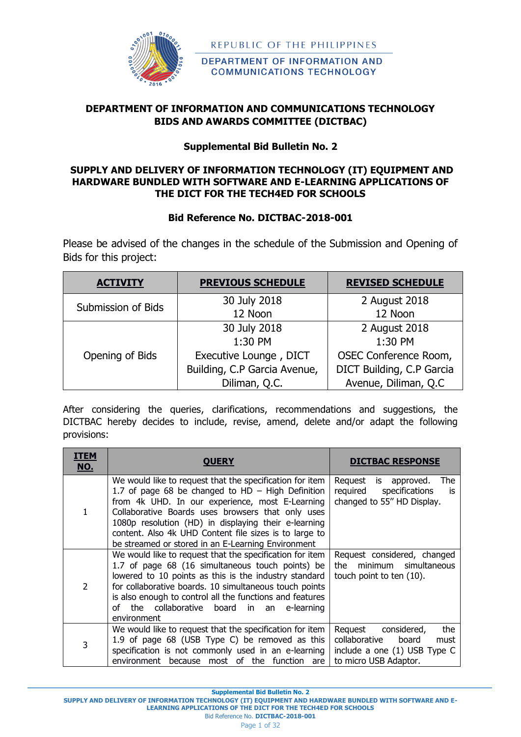

DEPARTMENT OF INFORMATION AND **COMMUNICATIONS TECHNOLOGY** 

# **DEPARTMENT OF INFORMATION AND COMMUNICATIONS TECHNOLOGY BIDS AND AWARDS COMMITTEE (DICTBAC)**

# **Supplemental Bid Bulletin No. 2**

## **SUPPLY AND DELIVERY OF INFORMATION TECHNOLOGY (IT) EQUIPMENT AND HARDWARE BUNDLED WITH SOFTWARE AND E-LEARNING APPLICATIONS OF THE DICT FOR THE TECH4ED FOR SCHOOLS**

# **Bid Reference No. DICTBAC-2018-001**

Please be advised of the changes in the schedule of the Submission and Opening of Bids for this project:

| <b>PREVIOUS SCHEDULE</b><br><b>ACTIVITY</b> |                              | <b>REVISED SCHEDULE</b>   |
|---------------------------------------------|------------------------------|---------------------------|
| Submission of Bids                          | 30 July 2018                 | 2 August 2018             |
|                                             | 12 Noon                      | 12 Noon                   |
|                                             | 30 July 2018                 | 2 August 2018             |
|                                             | 1:30 PM                      | 1:30 PM                   |
| Opening of Bids                             | Executive Lounge, DICT       | OSEC Conference Room,     |
|                                             | Building, C.P Garcia Avenue, | DICT Building, C.P Garcia |
|                                             | Diliman, Q.C.                | Avenue, Diliman, Q.C      |

After considering the queries, clarifications, recommendations and suggestions, the DICTBAC hereby decides to include, revise, amend, delete and/or adapt the following provisions:

| ITEM<br><u>NO.</u> | <b>OUERY</b>                                                                                                                                                                                                                                                                                                                                                                                    | <b>DICTBAC RESPONSE</b>                                                                                                  |
|--------------------|-------------------------------------------------------------------------------------------------------------------------------------------------------------------------------------------------------------------------------------------------------------------------------------------------------------------------------------------------------------------------------------------------|--------------------------------------------------------------------------------------------------------------------------|
|                    | We would like to request that the specification for item<br>1.7 of page 68 be changed to HD $-$ High Definition<br>from 4k UHD. In our experience, most E-Learning<br>Collaborative Boards uses browsers that only uses<br>1080p resolution (HD) in displaying their e-learning<br>content. Also 4k UHD Content file sizes is to large to<br>be streamed or stored in an E-Learning Environment | Request<br>The<br>is<br>approved.<br>required<br>specifications<br>İS<br>changed to 55" HD Display.                      |
| $\mathcal{P}$      | We would like to request that the specification for item<br>1.7 of page 68 (16 simultaneous touch points) be<br>lowered to 10 points as this is the industry standard<br>for collaborative boards. 10 simultaneous touch points<br>is also enough to control all the functions and features<br>of the collaborative board in an<br>e-learning<br>environment                                    | Request considered, changed<br>minimum simultaneous<br>the<br>touch point to ten (10).                                   |
| 3                  | We would like to request that the specification for item<br>1.9 of page 68 (USB Type C) be removed as this<br>specification is not commonly used in an e-learning<br>of<br>the<br>function<br>environment<br>because<br>most<br>are I                                                                                                                                                           | the<br>Request<br>considered,<br>collaborative<br>board<br>must<br>include a one (1) USB Type C<br>to micro USB Adaptor. |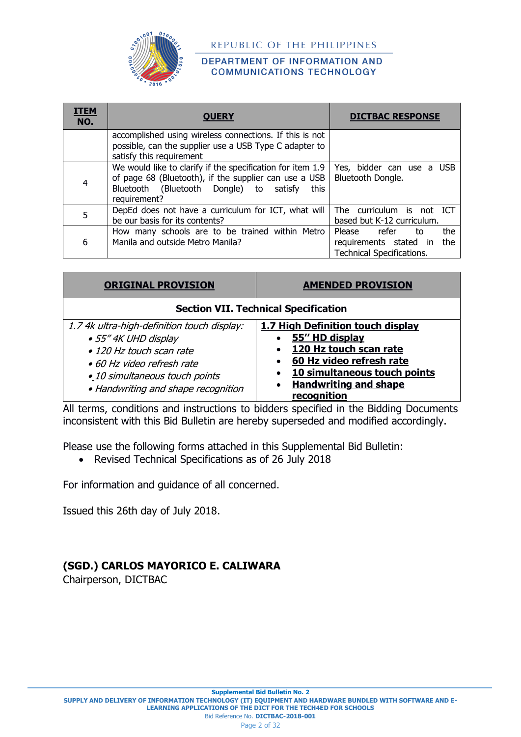

#### DEPARTMENT OF INFORMATION AND **COMMUNICATIONS TECHNOLOGY**

| <b>ITEM</b><br><b>NO.</b> | <b>OUERY</b>                                                                                                                                                                           | <b>DICTBAC RESPONSE</b>                                                                        |
|---------------------------|----------------------------------------------------------------------------------------------------------------------------------------------------------------------------------------|------------------------------------------------------------------------------------------------|
|                           | accomplished using wireless connections. If this is not<br>possible, can the supplier use a USB Type C adapter to<br>satisfy this requirement                                          |                                                                                                |
| 4                         | We would like to clarify if the specification for item 1.9<br>of page 68 (Bluetooth), if the supplier can use a USB<br>Bluetooth (Bluetooth Dongle) to satisfy<br>this<br>requirement? | Yes, bidder can use a USB<br>Bluetooth Dongle.                                                 |
| 5                         | DepEd does not have a curriculum for ICT, what will<br>be our basis for its contents?                                                                                                  | The curriculum is not ICT<br>based but K-12 curriculum.                                        |
| 6                         | How many schools are to be trained within Metro<br>Manila and outside Metro Manila?                                                                                                    | Please refer<br>the<br>to<br>the<br>requirements stated in<br><b>Technical Specifications.</b> |

| <b>ORIGINAL PROVISION</b>                                                                                                                                                                                      | <b>AMENDED PROVISION</b>                                                                                                                                                                                                                       |  |  |
|----------------------------------------------------------------------------------------------------------------------------------------------------------------------------------------------------------------|------------------------------------------------------------------------------------------------------------------------------------------------------------------------------------------------------------------------------------------------|--|--|
| <b>Section VII. Technical Specification</b>                                                                                                                                                                    |                                                                                                                                                                                                                                                |  |  |
| 1.7 4k ultra-high-definition touch display:<br>• 55" 4K UHD display<br>• 120 Hz touch scan rate<br>$\bullet$ 60 Hz video refresh rate<br>· 10 simultaneous touch points<br>• Handwriting and shape recognition | 1.7 High Definition touch display<br>55" HD display<br>$\bullet$<br>120 Hz touch scan rate<br>$\bullet$<br>60 Hz video refresh rate<br>$\bullet$<br>• 10 simultaneous touch points<br><b>Handwriting and shape</b><br>$\bullet$<br>recognition |  |  |

All terms, conditions and instructions to bidders specified in the Bidding Documents inconsistent with this Bid Bulletin are hereby superseded and modified accordingly.

Please use the following forms attached in this Supplemental Bid Bulletin:

• Revised Technical Specifications as of 26 July 2018

For information and guidance of all concerned.

Issued this 26th day of July 2018.

# **(SGD.) CARLOS MAYORICO E. CALIWARA**

Chairperson, DICTBAC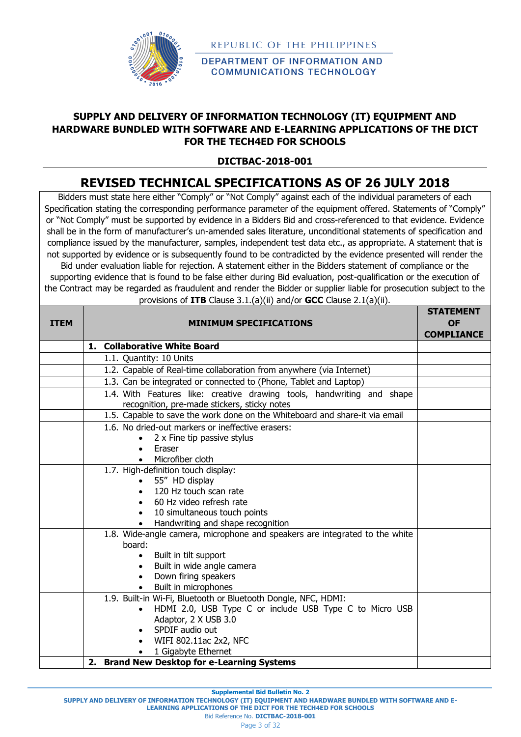

**DEPARTMENT OF INFORMATION AND COMMUNICATIONS TECHNOLOGY** 

# **SUPPLY AND DELIVERY OF INFORMATION TECHNOLOGY (IT) EQUIPMENT AND HARDWARE BUNDLED WITH SOFTWARE AND E-LEARNING APPLICATIONS OF THE DICT FOR THE TECH4ED FOR SCHOOLS**

# **DICTBAC-2018-001**

# **REVISED TECHNICAL SPECIFICATIONS AS OF 26 JULY 2018**

Bidders must state here either "Comply" or "Not Comply" against each of the individual parameters of each Specification stating the corresponding performance parameter of the equipment offered. Statements of "Comply" or "Not Comply" must be supported by evidence in a Bidders Bid and cross-referenced to that evidence. Evidence shall be in the form of manufacturer's un-amended sales literature, unconditional statements of specification and compliance issued by the manufacturer, samples, independent test data etc., as appropriate. A statement that is not supported by evidence or is subsequently found to be contradicted by the evidence presented will render the Bid under evaluation liable for rejection. A statement either in the Bidders statement of compliance or the supporting evidence that is found to be false either during Bid evaluation, post-qualification or the execution of the Contract may be regarded as fraudulent and render the Bidder or supplier liable for prosecution subject to the

| provisions of <b>ITB</b> Clause $3.1.(a)(ii)$ and/or <b>GCC</b> Clause $2.1(a)(ii)$ . |                                                                                                                        |                                                    |  |  |
|---------------------------------------------------------------------------------------|------------------------------------------------------------------------------------------------------------------------|----------------------------------------------------|--|--|
| <b>ITEM</b>                                                                           | <b>MINIMUM SPECIFICATIONS</b>                                                                                          | <b>STATEMENT</b><br><b>OF</b><br><b>COMPLIANCE</b> |  |  |
|                                                                                       | 1. Collaborative White Board                                                                                           |                                                    |  |  |
|                                                                                       | 1.1. Quantity: 10 Units                                                                                                |                                                    |  |  |
|                                                                                       | 1.2. Capable of Real-time collaboration from anywhere (via Internet)                                                   |                                                    |  |  |
|                                                                                       | 1.3. Can be integrated or connected to (Phone, Tablet and Laptop)                                                      |                                                    |  |  |
|                                                                                       | 1.4. With Features like: creative drawing tools, handwriting and shape<br>recognition, pre-made stickers, sticky notes |                                                    |  |  |
|                                                                                       | 1.5. Capable to save the work done on the Whiteboard and share-it via email                                            |                                                    |  |  |
|                                                                                       | 1.6. No dried-out markers or ineffective erasers:                                                                      |                                                    |  |  |
|                                                                                       | 2 x Fine tip passive stylus                                                                                            |                                                    |  |  |
|                                                                                       | Eraser                                                                                                                 |                                                    |  |  |
|                                                                                       | Microfiber cloth                                                                                                       |                                                    |  |  |
|                                                                                       | 1.7. High-definition touch display:                                                                                    |                                                    |  |  |
|                                                                                       | 55" HD display                                                                                                         |                                                    |  |  |
|                                                                                       | 120 Hz touch scan rate                                                                                                 |                                                    |  |  |
|                                                                                       | 60 Hz video refresh rate                                                                                               |                                                    |  |  |
|                                                                                       | 10 simultaneous touch points<br>Handwriting and shape recognition                                                      |                                                    |  |  |
|                                                                                       | 1.8. Wide-angle camera, microphone and speakers are integrated to the white                                            |                                                    |  |  |
|                                                                                       | board:                                                                                                                 |                                                    |  |  |
|                                                                                       | Built in tilt support<br>$\bullet$                                                                                     |                                                    |  |  |
|                                                                                       | Built in wide angle camera                                                                                             |                                                    |  |  |
|                                                                                       | Down firing speakers<br>$\bullet$                                                                                      |                                                    |  |  |
|                                                                                       | Built in microphones                                                                                                   |                                                    |  |  |
|                                                                                       | 1.9. Built-in Wi-Fi, Bluetooth or Bluetooth Dongle, NFC, HDMI:                                                         |                                                    |  |  |
|                                                                                       | HDMI 2.0, USB Type C or include USB Type C to Micro USB                                                                |                                                    |  |  |
|                                                                                       | Adaptor, 2 X USB 3.0                                                                                                   |                                                    |  |  |
|                                                                                       | SPDIF audio out                                                                                                        |                                                    |  |  |
|                                                                                       | WIFI 802.11ac 2x2, NFC                                                                                                 |                                                    |  |  |
|                                                                                       | 1 Gigabyte Ethernet                                                                                                    |                                                    |  |  |
|                                                                                       | 2. Brand New Desktop for e-Learning Systems                                                                            |                                                    |  |  |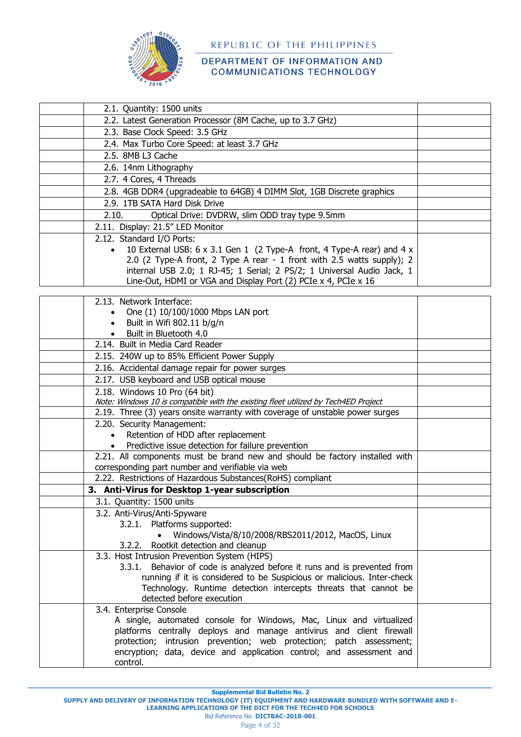

### DEPARTMENT OF INFORMATION AND **COMMUNICATIONS TECHNOLOGY**

| 2.1. Quantity: 1500 units                                                           |  |
|-------------------------------------------------------------------------------------|--|
| 2.2. Latest Generation Processor (8M Cache, up to 3.7 GHz)                          |  |
| 2.3. Base Clock Speed: 3.5 GHz                                                      |  |
| 2.4. Max Turbo Core Speed: at least 3.7 GHz                                         |  |
| 2.5. 8MB L3 Cache                                                                   |  |
| 2.6. 14nm Lithography                                                               |  |
| 2.7. 4 Cores, 4 Threads                                                             |  |
| 2.8. 4GB DDR4 (upgradeable to 64GB) 4 DIMM Slot, 1GB Discrete graphics              |  |
| 2.9. 1TB SATA Hard Disk Drive                                                       |  |
| Optical Drive: DVDRW, slim ODD tray type 9.5mm<br>2.10.                             |  |
| 2.11. Display: 21.5" LED Monitor                                                    |  |
| 2.12. Standard I/O Ports:                                                           |  |
| 10 External USB: 6 x 3.1 Gen 1 (2 Type-A front, 4 Type-A rear) and 4 x<br>$\bullet$ |  |
| 2.0 (2 Type-A front, 2 Type A rear - 1 front with 2.5 watts supply); 2              |  |
| internal USB 2.0; 1 RJ-45; 1 Serial; 2 PS/2; 1 Universal Audio Jack, 1              |  |
| Line-Out, HDMI or VGA and Display Port (2) PCIe x 4, PCIe x 16                      |  |

| 2.13. Network Interface:                                                           |  |
|------------------------------------------------------------------------------------|--|
| One (1) 10/100/1000 Mbps LAN port                                                  |  |
| Built in Wifi 802.11 b/g/n                                                         |  |
| Built in Bluetooth 4.0                                                             |  |
| 2.14. Built in Media Card Reader                                                   |  |
| 2.15. 240W up to 85% Efficient Power Supply                                        |  |
| 2.16. Accidental damage repair for power surges                                    |  |
| 2.17. USB keyboard and USB optical mouse                                           |  |
| 2.18. Windows 10 Pro (64 bit)                                                      |  |
| Note: Windows 10 is compatible with the existing fleet utilized by Tech4ED Project |  |
| 2.19. Three (3) years onsite warranty with coverage of unstable power surges       |  |
| 2.20. Security Management:                                                         |  |
| Retention of HDD after replacement<br>$\bullet$                                    |  |
| Predictive issue detection for failure prevention<br>$\bullet$                     |  |
| 2.21. All components must be brand new and should be factory installed with        |  |
| corresponding part number and verifiable via web                                   |  |
| 2.22. Restrictions of Hazardous Substances(RoHS) compliant                         |  |
| 3. Anti-Virus for Desktop 1-year subscription                                      |  |
| 3.1. Quantity: 1500 units                                                          |  |
| 3.2. Anti-Virus/Anti-Spyware                                                       |  |
| 3.2.1. Platforms supported:                                                        |  |
| Windows/Vista/8/10/2008/RBS2011/2012, MacOS, Linux                                 |  |
| 3.2.2. Rootkit detection and cleanup                                               |  |
| 3.3. Host Intrusion Prevention System (HIPS)                                       |  |
| Behavior of code is analyzed before it runs and is prevented from<br>3.3.1.        |  |
| running if it is considered to be Suspicious or malicious. Inter-check             |  |
| Technology. Runtime detection intercepts threats that cannot be                    |  |
| detected before execution                                                          |  |
| 3.4. Enterprise Console                                                            |  |
| A single, automated console for Windows, Mac, Linux and virtualized                |  |
| platforms centrally deploys and manage antivirus and client firewall               |  |
| protection; intrusion prevention; web protection; patch assessment;                |  |
| encryption; data, device and application control; and assessment and               |  |
| control.                                                                           |  |

**Supplemental Bid Bulletin No. 2**

Bid Reference No. **DICTBAC-2018-001**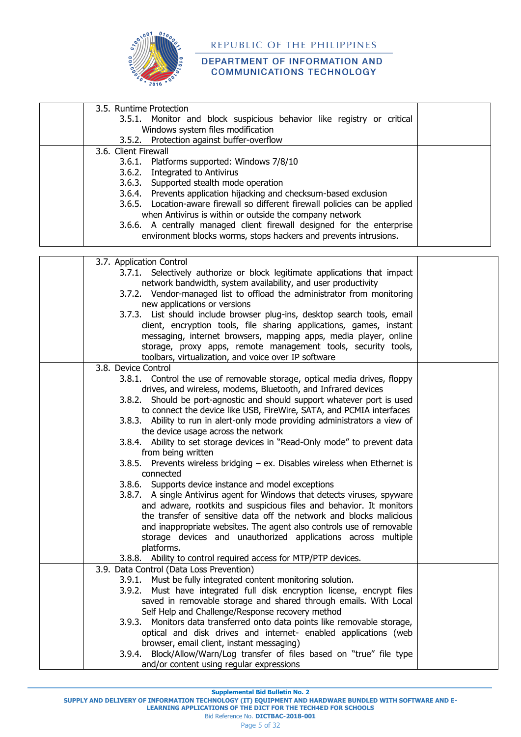

| 3.5. Runtime Protection                                                                                                       |  |
|-------------------------------------------------------------------------------------------------------------------------------|--|
| 3.5.1. Monitor and block suspicious behavior like registry or critical                                                        |  |
| Windows system files modification                                                                                             |  |
| 3.5.2. Protection against buffer-overflow                                                                                     |  |
| 3.6. Client Firewall                                                                                                          |  |
| 3.6.1. Platforms supported: Windows 7/8/10                                                                                    |  |
| 3.6.2. Integrated to Antivirus                                                                                                |  |
| 3.6.3. Supported stealth mode operation                                                                                       |  |
| 3.6.4. Prevents application hijacking and checksum-based exclusion                                                            |  |
| 3.6.5. Location-aware firewall so different firewall policies can be applied                                                  |  |
| when Antivirus is within or outside the company network                                                                       |  |
| 3.6.6. A centrally managed client firewall designed for the enterprise                                                        |  |
| environment blocks worms, stops hackers and prevents intrusions.                                                              |  |
|                                                                                                                               |  |
| 3.7. Application Control                                                                                                      |  |
| 3.7.1. Selectively authorize or block legitimate applications that impact                                                     |  |
| network bandwidth, system availability, and user productivity                                                                 |  |
| 3.7.2. Vendor-managed list to offload the administrator from monitoring                                                       |  |
| new applications or versions<br>3.7.3. List should include browser plug-ins, desktop search tools, email                      |  |
| client, encryption tools, file sharing applications, games, instant                                                           |  |
| messaging, internet browsers, mapping apps, media player, online                                                              |  |
| storage, proxy apps, remote management tools, security tools,                                                                 |  |
| toolbars, virtualization, and voice over IP software                                                                          |  |
| 3.8. Device Control                                                                                                           |  |
| 3.8.1. Control the use of removable storage, optical media drives, floppy                                                     |  |
| drives, and wireless, modems, Bluetooth, and Infrared devices                                                                 |  |
| 3.8.2. Should be port-agnostic and should support whatever port is used                                                       |  |
| to connect the device like USB, FireWire, SATA, and PCMIA interfaces                                                          |  |
| 3.8.3. Ability to run in alert-only mode providing administrators a view of                                                   |  |
| the device usage across the network                                                                                           |  |
| 3.8.4. Ability to set storage devices in "Read-Only mode" to prevent data                                                     |  |
| from being written                                                                                                            |  |
| 3.8.5. Prevents wireless bridging - ex. Disables wireless when Ethernet is<br>connected                                       |  |
| 3.8.6. Supports device instance and model exceptions                                                                          |  |
| 3.8.7. A single Antivirus agent for Windows that detects viruses, spyware                                                     |  |
| and adware, rootkits and suspicious files and behavior. It monitors                                                           |  |
| the transfer of sensitive data off the network and blocks malicious                                                           |  |
| and inappropriate websites. The agent also controls use of removable                                                          |  |
| storage devices and unauthorized applications across multiple                                                                 |  |
| platforms.                                                                                                                    |  |
| 3.8.8. Ability to control required access for MTP/PTP devices.                                                                |  |
| 3.9. Data Control (Data Loss Prevention)                                                                                      |  |
| 3.9.1. Must be fully integrated content monitoring solution.                                                                  |  |
| 3.9.2. Must have integrated full disk encryption license, encrypt files                                                       |  |
| saved in removable storage and shared through emails. With Local                                                              |  |
| Self Help and Challenge/Response recovery method<br>3.9.3. Monitors data transferred onto data points like removable storage, |  |
| optical and disk drives and internet- enabled applications (web                                                               |  |
| browser, email client, instant messaging)                                                                                     |  |
| 3.9.4. Block/Allow/Warn/Log transfer of files based on "true" file type                                                       |  |
| and/or content using regular expressions                                                                                      |  |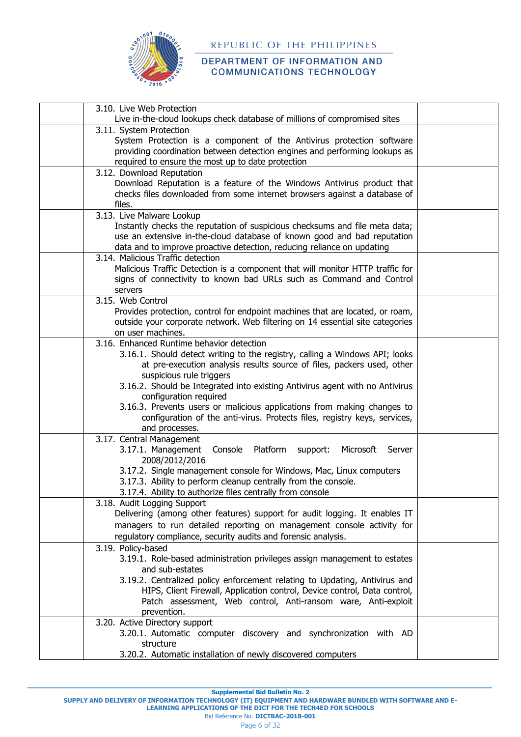

#### DEPARTMENT OF INFORMATION AND **COMMUNICATIONS TECHNOLOGY**

| 3.10. Live Web Protection                                                                   |  |
|---------------------------------------------------------------------------------------------|--|
| Live in-the-cloud lookups check database of millions of compromised sites                   |  |
| 3.11. System Protection                                                                     |  |
| System Protection is a component of the Antivirus protection software                       |  |
| providing coordination between detection engines and performing lookups as                  |  |
| required to ensure the most up to date protection<br>3.12. Download Reputation              |  |
| Download Reputation is a feature of the Windows Antivirus product that                      |  |
| checks files downloaded from some internet browsers against a database of                   |  |
| files.                                                                                      |  |
| 3.13. Live Malware Lookup                                                                   |  |
| Instantly checks the reputation of suspicious checksums and file meta data;                 |  |
| use an extensive in-the-cloud database of known good and bad reputation                     |  |
| data and to improve proactive detection, reducing reliance on updating                      |  |
| 3.14. Malicious Traffic detection                                                           |  |
| Malicious Traffic Detection is a component that will monitor HTTP traffic for               |  |
| signs of connectivity to known bad URLs such as Command and Control                         |  |
| servers                                                                                     |  |
| 3.15. Web Control                                                                           |  |
| Provides protection, control for endpoint machines that are located, or roam,               |  |
| outside your corporate network. Web filtering on 14 essential site categories               |  |
| on user machines.                                                                           |  |
| 3.16. Enhanced Runtime behavior detection                                                   |  |
| 3.16.1. Should detect writing to the registry, calling a Windows API; looks                 |  |
| at pre-execution analysis results source of files, packers used, other                      |  |
| suspicious rule triggers                                                                    |  |
| 3.16.2. Should be Integrated into existing Antivirus agent with no Antivirus                |  |
| configuration required                                                                      |  |
| 3.16.3. Prevents users or malicious applications from making changes to                     |  |
| configuration of the anti-virus. Protects files, registry keys, services,<br>and processes. |  |
| 3.17. Central Management                                                                    |  |
| 3.17.1. Management<br>Console<br>Platform<br>support:<br>Microsoft<br>Server                |  |
| 2008/2012/2016                                                                              |  |
| 3.17.2. Single management console for Windows, Mac, Linux computers                         |  |
| 3.17.3. Ability to perform cleanup centrally from the console.                              |  |
| 3.17.4. Ability to authorize files centrally from console                                   |  |
| 3.18. Audit Logging Support                                                                 |  |
| Delivering (among other features) support for audit logging. It enables IT                  |  |
| managers to run detailed reporting on management console activity for                       |  |
| regulatory compliance, security audits and forensic analysis.                               |  |
| 3.19. Policy-based                                                                          |  |
| 3.19.1. Role-based administration privileges assign management to estates                   |  |
| and sub-estates                                                                             |  |
| 3.19.2. Centralized policy enforcement relating to Updating, Antivirus and                  |  |
| HIPS, Client Firewall, Application control, Device control, Data control,                   |  |
| Patch assessment, Web control, Anti-ransom ware, Anti-exploit                               |  |
| prevention.                                                                                 |  |
| 3.20. Active Directory support                                                              |  |
| 3.20.1. Automatic computer discovery and synchronization with AD                            |  |
| structure                                                                                   |  |
| 3.20.2. Automatic installation of newly discovered computers                                |  |

**Supplemental Bid Bulletin No. 2**

**SUPPLY AND DELIVERY OF INFORMATION TECHNOLOGY (IT) EQUIPMENT AND HARDWARE BUNDLED WITH SOFTWARE AND E-**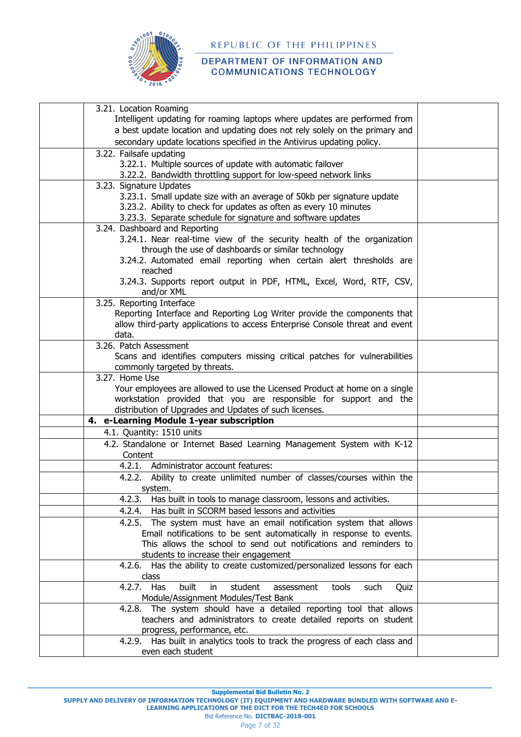

#### DEPARTMENT OF INFORMATION AND **COMMUNICATIONS TECHNOLOGY**

| 3.21. Location Roaming                                                            |  |
|-----------------------------------------------------------------------------------|--|
| Intelligent updating for roaming laptops where updates are performed from         |  |
| a best update location and updating does not rely solely on the primary and       |  |
| secondary update locations specified in the Antivirus updating policy.            |  |
| 3.22. Failsafe updating                                                           |  |
| 3.22.1. Multiple sources of update with automatic failover                        |  |
| 3.22.2. Bandwidth throttling support for low-speed network links                  |  |
| 3.23. Signature Updates                                                           |  |
| 3.23.1. Small update size with an average of 50kb per signature update            |  |
| 3.23.2. Ability to check for updates as often as every 10 minutes                 |  |
| 3.23.3. Separate schedule for signature and software updates                      |  |
| 3.24. Dashboard and Reporting                                                     |  |
| 3.24.1. Near real-time view of the security health of the organization            |  |
| through the use of dashboards or similar technology                               |  |
| 3.24.2. Automated email reporting when certain alert thresholds are               |  |
| reached                                                                           |  |
| 3.24.3. Supports report output in PDF, HTML, Excel, Word, RTF, CSV,<br>and/or XML |  |
| 3.25. Reporting Interface                                                         |  |
| Reporting Interface and Reporting Log Writer provide the components that          |  |
| allow third-party applications to access Enterprise Console threat and event      |  |
| data.                                                                             |  |
| 3.26. Patch Assessment                                                            |  |
| Scans and identifies computers missing critical patches for vulnerabilities       |  |
| commonly targeted by threats.                                                     |  |
| 3.27. Home Use                                                                    |  |
| Your employees are allowed to use the Licensed Product at home on a single        |  |
| workstation provided that you are responsible for support and the                 |  |
| distribution of Upgrades and Updates of such licenses.                            |  |
| 4. e-Learning Module 1-year subscription                                          |  |
| 4.1. Quantity: 1510 units                                                         |  |
| 4.2. Standalone or Internet Based Learning Management System with K-12<br>Content |  |
| 4.2.1.<br>Administrator account features:                                         |  |
| 4.2.2. Ability to create unlimited number of classes/courses within the           |  |
| system.                                                                           |  |
| 4.2.3.<br>Has built in tools to manage classroom, lessons and activities.         |  |
| Has built in SCORM based lessons and activities<br>4.2.4.                         |  |
| The system must have an email notification system that allows<br>4.2.5.           |  |
| Email notifications to be sent automatically in response to events.               |  |
| This allows the school to send out notifications and reminders to                 |  |
| students to increase their engagement                                             |  |
| 4.2.6. Has the ability to create customized/personalized lessons for each         |  |
| class                                                                             |  |
| 4.2.7.<br>built<br>Has<br>student<br>assessment<br>Quiz<br>in.<br>tools<br>such   |  |
| Module/Assignment Modules/Test Bank                                               |  |
| 4.2.8. The system should have a detailed reporting tool that allows               |  |
| teachers and administrators to create detailed reports on student                 |  |
| progress, performance, etc.                                                       |  |
| Has built in analytics tools to track the progress of each class and<br>4.2.9.    |  |
| even each student                                                                 |  |

**Supplemental Bid Bulletin No. 2**

**SUPPLY AND DELIVERY OF INFORMATION TECHNOLOGY (IT) EQUIPMENT AND HARDWARE BUNDLED WITH SOFTWARE AND E-LEARNING APPLICATIONS OF THE DICT FOR THE TECH4ED FOR SCHOOLS**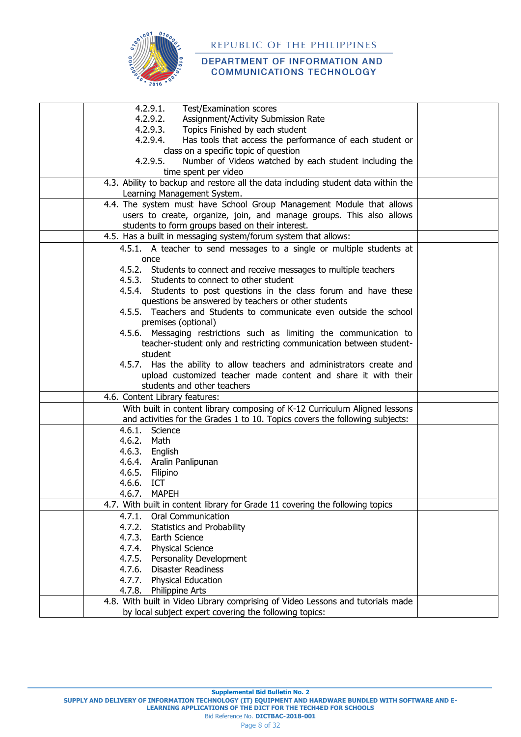

| 4.2.9.1.<br><b>Test/Examination scores</b>                                                                                                |  |
|-------------------------------------------------------------------------------------------------------------------------------------------|--|
| 4.2.9.2.<br>Assignment/Activity Submission Rate                                                                                           |  |
| 4.2.9.3.<br>Topics Finished by each student                                                                                               |  |
| 4.2.9.4.<br>Has tools that access the performance of each student or                                                                      |  |
| class on a specific topic of question                                                                                                     |  |
| 4.2.9.5.<br>Number of Videos watched by each student including the                                                                        |  |
| time spent per video                                                                                                                      |  |
| 4.3. Ability to backup and restore all the data including student data within the                                                         |  |
| Learning Management System.                                                                                                               |  |
| 4.4. The system must have School Group Management Module that allows                                                                      |  |
| users to create, organize, join, and manage groups. This also allows                                                                      |  |
| students to form groups based on their interest.                                                                                          |  |
| 4.5. Has a built in messaging system/forum system that allows:                                                                            |  |
| 4.5.1. A teacher to send messages to a single or multiple students at                                                                     |  |
| once                                                                                                                                      |  |
| 4.5.2. Students to connect and receive messages to multiple teachers                                                                      |  |
| 4.5.3. Students to connect to other student                                                                                               |  |
| 4.5.4. Students to post questions in the class forum and have these                                                                       |  |
| questions be answered by teachers or other students                                                                                       |  |
| 4.5.5. Teachers and Students to communicate even outside the school                                                                       |  |
| premises (optional)                                                                                                                       |  |
| 4.5.6. Messaging restrictions such as limiting the communication to                                                                       |  |
| teacher-student only and restricting communication between student-                                                                       |  |
| student                                                                                                                                   |  |
| 4.5.7. Has the ability to allow teachers and administrators create and                                                                    |  |
| upload customized teacher made content and share it with their                                                                            |  |
| students and other teachers                                                                                                               |  |
| 4.6. Content Library features:                                                                                                            |  |
| With built in content library composing of K-12 Curriculum Aligned lessons                                                                |  |
| and activities for the Grades 1 to 10. Topics covers the following subjects:                                                              |  |
| 4.6.1.<br>Science                                                                                                                         |  |
| 4.6.2. Math                                                                                                                               |  |
| 4.6.3. English                                                                                                                            |  |
| 4.6.4. Aralin Panlipunan                                                                                                                  |  |
| 4.6.5.<br>Filipino                                                                                                                        |  |
| 4.6.6.<br>ICT                                                                                                                             |  |
| 4.6.7.<br>MAPEH                                                                                                                           |  |
| 4.7. With built in content library for Grade 11 covering the following topics                                                             |  |
|                                                                                                                                           |  |
| Oral Communication<br>4.7.1.                                                                                                              |  |
| 4.7.2.<br>Statistics and Probability                                                                                                      |  |
| 4.7.3.<br>Earth Science                                                                                                                   |  |
| <b>Physical Science</b><br>4.7.4.                                                                                                         |  |
| 4.7.5. Personality Development                                                                                                            |  |
| 4.7.6.<br><b>Disaster Readiness</b>                                                                                                       |  |
| 4.7.7. Physical Education                                                                                                                 |  |
| 4.7.8.<br><b>Philippine Arts</b>                                                                                                          |  |
| 4.8. With built in Video Library comprising of Video Lessons and tutorials made<br>by local subject expert covering the following topics: |  |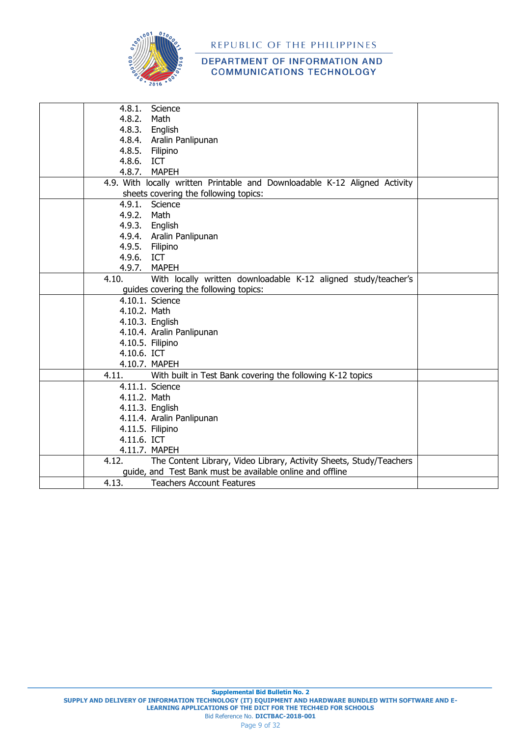

| 4.8.1.       | Science                                                                    |  |
|--------------|----------------------------------------------------------------------------|--|
| 4.8.2.       | Math                                                                       |  |
| 4.8.3.       | English                                                                    |  |
|              | 4.8.4. Aralin Panlipunan                                                   |  |
|              | 4.8.5. Filipino                                                            |  |
| 4.8.6. ICT   |                                                                            |  |
|              | 4.8.7. MAPEH                                                               |  |
|              | 4.9. With locally written Printable and Downloadable K-12 Aligned Activity |  |
|              | sheets covering the following topics:                                      |  |
| 4.9.1.       | Science                                                                    |  |
| 4.9.2. Math  |                                                                            |  |
|              | 4.9.3. English                                                             |  |
|              | 4.9.4. Aralin Panlipunan                                                   |  |
|              | 4.9.5. Filipino                                                            |  |
| 4.9.6. ICT   |                                                                            |  |
|              | 4.9.7. MAPEH                                                               |  |
| 4.10.        | With locally written downloadable K-12 aligned study/teacher's             |  |
|              | guides covering the following topics:                                      |  |
|              | 4.10.1. Science                                                            |  |
| 4.10.2. Math |                                                                            |  |
|              | 4.10.3. English                                                            |  |
|              | 4.10.4. Aralin Panlipunan                                                  |  |
|              | 4.10.5. Filipino                                                           |  |
| 4.10.6. ICT  |                                                                            |  |
|              | 4.10.7. MAPEH                                                              |  |
| 4.11.        | With built in Test Bank covering the following K-12 topics                 |  |
|              | 4.11.1. Science                                                            |  |
| 4.11.2. Math |                                                                            |  |
|              | 4.11.3. English                                                            |  |
|              | 4.11.4. Aralin Panlipunan                                                  |  |
|              | 4.11.5. Filipino                                                           |  |
| 4.11.6. ICT  |                                                                            |  |
|              | 4.11.7. MAPEH                                                              |  |
| 4.12.        | The Content Library, Video Library, Activity Sheets, Study/Teachers        |  |
|              | guide, and Test Bank must be available online and offline                  |  |
| 4.13.        | <b>Teachers Account Features</b>                                           |  |
|              |                                                                            |  |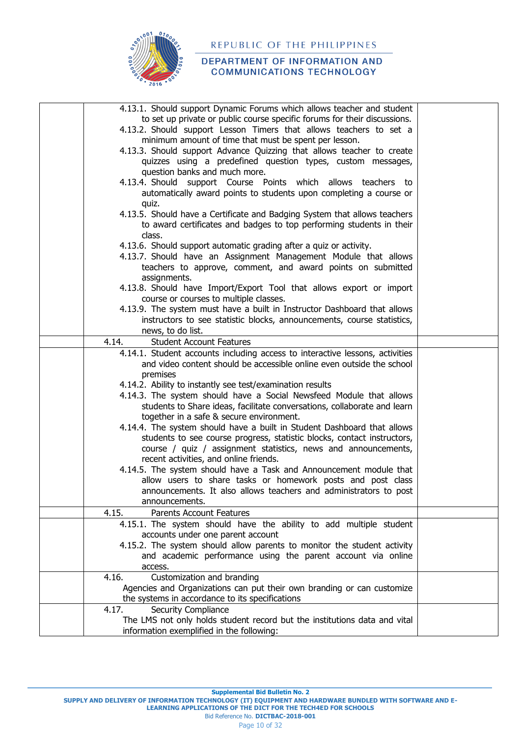

### DEPARTMENT OF INFORMATION AND **COMMUNICATIONS TECHNOLOGY**

| 4.13.1. Should support Dynamic Forums which allows teacher and student              |  |
|-------------------------------------------------------------------------------------|--|
| to set up private or public course specific forums for their discussions.           |  |
| 4.13.2. Should support Lesson Timers that allows teachers to set a                  |  |
| minimum amount of time that must be spent per lesson.                               |  |
| 4.13.3. Should support Advance Quizzing that allows teacher to create               |  |
| quizzes using a predefined question types, custom messages,                         |  |
| question banks and much more.                                                       |  |
| 4.13.4. Should support Course Points which allows teachers to                       |  |
| automatically award points to students upon completing a course or                  |  |
| quiz.                                                                               |  |
| 4.13.5. Should have a Certificate and Badging System that allows teachers           |  |
| to award certificates and badges to top performing students in their                |  |
| class.                                                                              |  |
| 4.13.6. Should support automatic grading after a quiz or activity.                  |  |
| 4.13.7. Should have an Assignment Management Module that allows                     |  |
| teachers to approve, comment, and award points on submitted                         |  |
|                                                                                     |  |
| assignments.<br>4.13.8. Should have Import/Export Tool that allows export or import |  |
| course or courses to multiple classes.                                              |  |
| 4.13.9. The system must have a built in Instructor Dashboard that allows            |  |
| instructors to see statistic blocks, announcements, course statistics,              |  |
| news, to do list.                                                                   |  |
| 4.14.<br><b>Student Account Features</b>                                            |  |
| 4.14.1. Student accounts including access to interactive lessons, activities        |  |
| and video content should be accessible online even outside the school               |  |
| premises                                                                            |  |
| 4.14.2. Ability to instantly see test/examination results                           |  |
| 4.14.3. The system should have a Social Newsfeed Module that allows                 |  |
|                                                                                     |  |
| students to Share ideas, facilitate conversations, collaborate and learn            |  |
| together in a safe & secure environment.                                            |  |
| 4.14.4. The system should have a built in Student Dashboard that allows             |  |
| students to see course progress, statistic blocks, contact instructors,             |  |
| course / quiz / assignment statistics, news and announcements,                      |  |
| recent activities, and online friends.                                              |  |
| 4.14.5. The system should have a Task and Announcement module that                  |  |
| allow users to share tasks or homework posts and post class                         |  |
| announcements. It also allows teachers and administrators to post                   |  |
| announcements.                                                                      |  |
| 4.15.<br><b>Parents Account Features</b>                                            |  |
| 4.15.1. The system should have the ability to add multiple student                  |  |
| accounts under one parent account                                                   |  |
| 4.15.2. The system should allow parents to monitor the student activity             |  |
| and academic performance using the parent account via online                        |  |
| access.                                                                             |  |
| Customization and branding<br>4.16.                                                 |  |
| Agencies and Organizations can put their own branding or can customize              |  |
| the systems in accordance to its specifications                                     |  |
| Security Compliance<br>4.17.                                                        |  |
| The LMS not only holds student record but the institutions data and vital           |  |
| information exemplified in the following:                                           |  |

**Supplemental Bid Bulletin No. 2**

**SUPPLY AND DELIVERY OF INFORMATION TECHNOLOGY (IT) EQUIPMENT AND HARDWARE BUNDLED WITH SOFTWARE AND E-**

**LEARNING APPLICATIONS OF THE DICT FOR THE TECH4ED FOR SCHOOLS**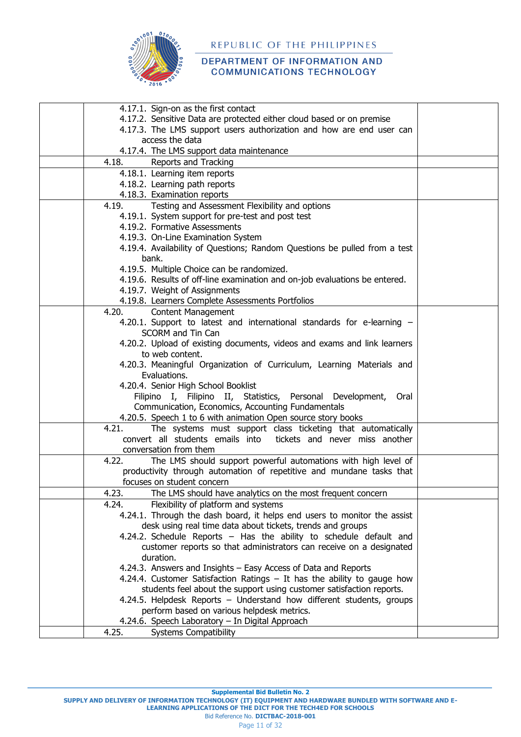

#### DEPARTMENT OF INFORMATION AND **COMMUNICATIONS TECHNOLOGY**

| 4.17.1. Sign-on as the first contact                                                  |  |
|---------------------------------------------------------------------------------------|--|
| 4.17.2. Sensitive Data are protected either cloud based or on premise                 |  |
| 4.17.3. The LMS support users authorization and how are end user can                  |  |
| access the data                                                                       |  |
| 4.17.4. The LMS support data maintenance                                              |  |
| 4.18.<br>Reports and Tracking                                                         |  |
| 4.18.1. Learning item reports                                                         |  |
| 4.18.2. Learning path reports                                                         |  |
| 4.18.3. Examination reports                                                           |  |
| Testing and Assessment Flexibility and options<br>4.19.                               |  |
| 4.19.1. System support for pre-test and post test                                     |  |
| 4.19.2. Formative Assessments                                                         |  |
| 4.19.3. On-Line Examination System                                                    |  |
| 4.19.4. Availability of Questions; Random Questions be pulled from a test             |  |
| bank.                                                                                 |  |
| 4.19.5. Multiple Choice can be randomized.                                            |  |
| 4.19.6. Results of off-line examination and on-job evaluations be entered.            |  |
| 4.19.7. Weight of Assignments                                                         |  |
| 4.19.8. Learners Complete Assessments Portfolios                                      |  |
| 4.20.<br><b>Content Management</b>                                                    |  |
| 4.20.1. Support to latest and international standards for e-learning -                |  |
| <b>SCORM and Tin Can</b>                                                              |  |
| 4.20.2. Upload of existing documents, videos and exams and link learners              |  |
| to web content.                                                                       |  |
| 4.20.3. Meaningful Organization of Curriculum, Learning Materials and<br>Evaluations. |  |
| 4.20.4. Senior High School Booklist                                                   |  |
| Filipino I, Filipino II, Statistics, Personal Development,<br>Oral                    |  |
| Communication, Economics, Accounting Fundamentals                                     |  |
| 4.20.5. Speech 1 to 6 with animation Open source story books                          |  |
| The systems must support class ticketing that automatically<br>4.21.                  |  |
| convert all students emails into tickets and never miss another                       |  |
| conversation from them                                                                |  |
| The LMS should support powerful automations with high level of<br>4.22.               |  |
| productivity through automation of repetitive and mundane tasks that                  |  |
| focuses on student concern                                                            |  |
| The LMS should have analytics on the most frequent concern<br>4.23.                   |  |
| Flexibility of platform and systems<br>4.24.                                          |  |
| 4.24.1. Through the dash board, it helps end users to monitor the assist              |  |
| desk using real time data about tickets, trends and groups                            |  |
| 4.24.2. Schedule Reports - Has the ability to schedule default and                    |  |
| customer reports so that administrators can receive on a designated                   |  |
| duration.                                                                             |  |
| 4.24.3. Answers and Insights - Easy Access of Data and Reports                        |  |
| 4.24.4. Customer Satisfaction Ratings - It has the ability to gauge how               |  |
| students feel about the support using customer satisfaction reports.                  |  |
| 4.24.5. Helpdesk Reports - Understand how different students, groups                  |  |
| perform based on various helpdesk metrics.                                            |  |
| 4.24.6. Speech Laboratory - In Digital Approach                                       |  |
| 4.25.<br><b>Systems Compatibility</b>                                                 |  |
|                                                                                       |  |

**Supplemental Bid Bulletin No. 2**

**SUPPLY AND DELIVERY OF INFORMATION TECHNOLOGY (IT) EQUIPMENT AND HARDWARE BUNDLED WITH SOFTWARE AND E-**

**LEARNING APPLICATIONS OF THE DICT FOR THE TECH4ED FOR SCHOOLS**

Bid Reference No. **DICTBAC-2018-001**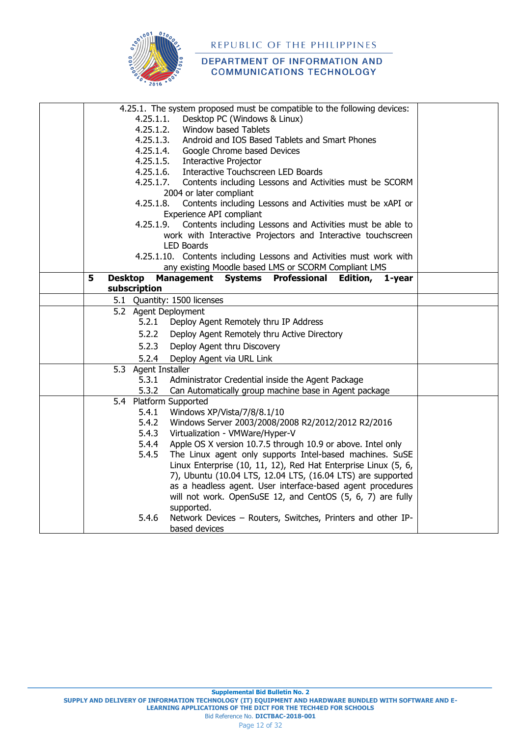

|                     |                     | 4.25.1. The system proposed must be compatible to the following devices: |  |
|---------------------|---------------------|--------------------------------------------------------------------------|--|
|                     | 4.25.1.1.           | Desktop PC (Windows & Linux)                                             |  |
|                     | 4.25.1.2.           | Window based Tablets                                                     |  |
|                     | 4.25.1.3.           | Android and IOS Based Tablets and Smart Phones                           |  |
|                     | 4.25.1.4.           | Google Chrome based Devices                                              |  |
|                     | 4.25.1.5.           | <b>Interactive Projector</b>                                             |  |
|                     | 4.25.1.6.           | Interactive Touchscreen LED Boards                                       |  |
|                     | 4.25.1.7.           | Contents including Lessons and Activities must be SCORM                  |  |
|                     |                     | 2004 or later compliant                                                  |  |
|                     | 4.25.1.8.           | Contents including Lessons and Activities must be xAPI or                |  |
|                     |                     | Experience API compliant                                                 |  |
|                     | 4.25.1.9.           | Contents including Lessons and Activities must be able to                |  |
|                     |                     | work with Interactive Projectors and Interactive touchscreen             |  |
|                     |                     | <b>LED Boards</b>                                                        |  |
|                     |                     | 4.25.1.10. Contents including Lessons and Activities must work with      |  |
|                     |                     | any existing Moodle based LMS or SCORM Compliant LMS                     |  |
| 5<br><b>Desktop</b> |                     | Management Systems Professional<br>Edition,<br>1-year                    |  |
|                     | subscription        |                                                                          |  |
|                     |                     | 5.1 Quantity: 1500 licenses                                              |  |
|                     |                     | 5.2 Agent Deployment                                                     |  |
|                     | 5.2.1               | Deploy Agent Remotely thru IP Address                                    |  |
|                     | 5.2.2               | Deploy Agent Remotely thru Active Directory                              |  |
|                     | 5.2.3               | Deploy Agent thru Discovery                                              |  |
|                     | 5.2.4               | Deploy Agent via URL Link                                                |  |
|                     | 5.3 Agent Installer |                                                                          |  |
|                     | 5.3.1               | Administrator Credential inside the Agent Package                        |  |
|                     | 5.3.2               | Can Automatically group machine base in Agent package                    |  |
|                     |                     | 5.4 Platform Supported                                                   |  |
|                     | 5.4.1               | Windows XP/Vista/7/8/8.1/10                                              |  |
|                     | 5.4.2               | Windows Server 2003/2008/2008 R2/2012/2012 R2/2016                       |  |
|                     | 5.4.3               | Virtualization - VMWare/Hyper-V                                          |  |
|                     | 5.4.4               | Apple OS X version 10.7.5 through 10.9 or above. Intel only              |  |
|                     | 5.4.5               | The Linux agent only supports Intel-based machines. SuSE                 |  |
|                     |                     | Linux Enterprise (10, 11, 12), Red Hat Enterprise Linux (5, 6,           |  |
|                     |                     | 7), Ubuntu (10.04 LTS, 12.04 LTS, (16.04 LTS) are supported              |  |
|                     |                     | as a headless agent. User interface-based agent procedures               |  |
|                     |                     | will not work. OpenSuSE 12, and CentOS (5, 6, 7) are fully               |  |
|                     |                     | supported.                                                               |  |
|                     | 5.4.6               | Network Devices - Routers, Switches, Printers and other IP-              |  |
|                     |                     | based devices                                                            |  |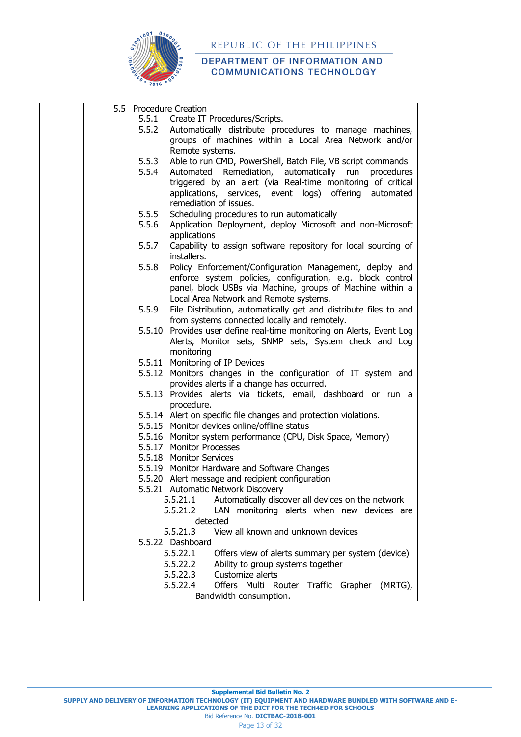

| 5.5 Procedure Creation |                                                                       |  |
|------------------------|-----------------------------------------------------------------------|--|
|                        | 5.5.1 Create IT Procedures/Scripts.                                   |  |
| 5.5.2                  | Automatically distribute procedures to manage machines,               |  |
|                        | groups of machines within a Local Area Network and/or                 |  |
|                        | Remote systems.                                                       |  |
|                        |                                                                       |  |
| 5.5.3                  | Able to run CMD, PowerShell, Batch File, VB script commands           |  |
| 5.5.4                  | Automated<br>Remediation, automatically run<br>procedures             |  |
|                        | triggered by an alert (via Real-time monitoring of critical           |  |
|                        | applications, services, event logs) offering automated                |  |
|                        | remediation of issues.                                                |  |
| 5.5.5                  | Scheduling procedures to run automatically                            |  |
| 5.5.6                  | Application Deployment, deploy Microsoft and non-Microsoft            |  |
|                        |                                                                       |  |
|                        | applications                                                          |  |
| 5.5.7                  | Capability to assign software repository for local sourcing of        |  |
|                        | installers.                                                           |  |
| 5.5.8                  | Policy Enforcement/Configuration Management, deploy and               |  |
|                        | enforce system policies, configuration, e.g. block control            |  |
|                        | panel, block USBs via Machine, groups of Machine within a             |  |
|                        |                                                                       |  |
|                        | Local Area Network and Remote systems.                                |  |
| 5.5.9                  | File Distribution, automatically get and distribute files to and      |  |
|                        | from systems connected locally and remotely.                          |  |
|                        | 5.5.10 Provides user define real-time monitoring on Alerts, Event Log |  |
|                        | Alerts, Monitor sets, SNMP sets, System check and Log                 |  |
|                        | monitoring                                                            |  |
|                        | 5.5.11 Monitoring of IP Devices                                       |  |
|                        |                                                                       |  |
|                        | 5.5.12 Monitors changes in the configuration of IT system and         |  |
|                        | provides alerts if a change has occurred.                             |  |
|                        | 5.5.13 Provides alerts via tickets, email, dashboard or run a         |  |
|                        | procedure.                                                            |  |
|                        | 5.5.14 Alert on specific file changes and protection violations.      |  |
|                        | 5.5.15 Monitor devices online/offline status                          |  |
|                        | 5.5.16 Monitor system performance (CPU, Disk Space, Memory)           |  |
|                        | 5.5.17 Monitor Processes                                              |  |
|                        |                                                                       |  |
|                        | 5.5.18 Monitor Services                                               |  |
|                        | 5.5.19 Monitor Hardware and Software Changes                          |  |
|                        | 5.5.20 Alert message and recipient configuration                      |  |
|                        | 5.5.21 Automatic Network Discovery                                    |  |
|                        | Automatically discover all devices on the network<br>5.5.21.1         |  |
|                        | 5.5.21.2<br>LAN monitoring alerts when new devices are                |  |
|                        | detected                                                              |  |
|                        |                                                                       |  |
|                        | View all known and unknown devices<br>5.5.21.3                        |  |
|                        | 5.5.22 Dashboard                                                      |  |
|                        | Offers view of alerts summary per system (device)<br>5.5.22.1         |  |
|                        | 5.5.22.2<br>Ability to group systems together                         |  |
|                        | 5.5.22.3<br>Customize alerts                                          |  |
|                        | 5.5.22.4<br>Offers Multi Router Traffic Grapher (MRTG),               |  |
|                        |                                                                       |  |
|                        | Bandwidth consumption.                                                |  |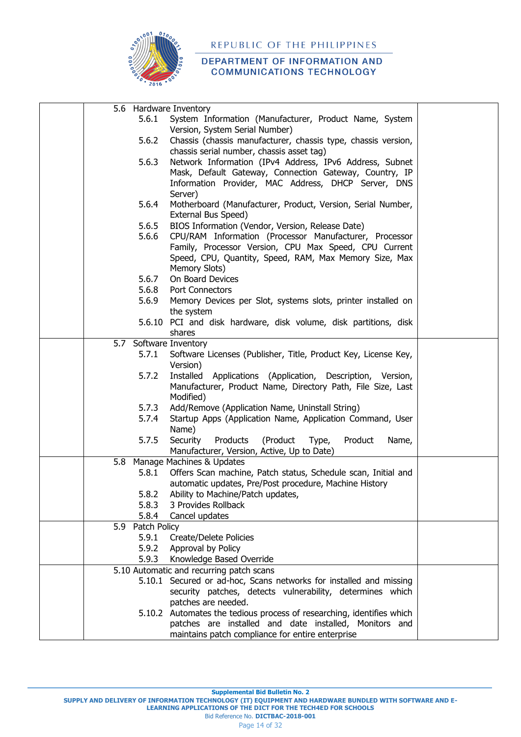

|     |                  | 5.6 Hardware Inventory                                                                                                    |  |
|-----|------------------|---------------------------------------------------------------------------------------------------------------------------|--|
|     | 5.6.1            | System Information (Manufacturer, Product Name, System                                                                    |  |
|     |                  | Version, System Serial Number)                                                                                            |  |
|     | 5.6.2            | Chassis (chassis manufacturer, chassis type, chassis version,                                                             |  |
|     |                  | chassis serial number, chassis asset tag)                                                                                 |  |
|     | 5.6.3            | Network Information (IPv4 Address, IPv6 Address, Subnet                                                                   |  |
|     |                  | Mask, Default Gateway, Connection Gateway, Country, IP                                                                    |  |
|     |                  | Information Provider, MAC Address, DHCP Server, DNS                                                                       |  |
|     |                  | Server)                                                                                                                   |  |
|     | 5.6.4            | Motherboard (Manufacturer, Product, Version, Serial Number,                                                               |  |
|     |                  | External Bus Speed)                                                                                                       |  |
|     | 5.6.5            | BIOS Information (Vendor, Version, Release Date)                                                                          |  |
|     | 5.6.6            | CPU/RAM Information (Processor Manufacturer, Processor                                                                    |  |
|     |                  | Family, Processor Version, CPU Max Speed, CPU Current                                                                     |  |
|     |                  | Speed, CPU, Quantity, Speed, RAM, Max Memory Size, Max                                                                    |  |
|     |                  | Memory Slots)                                                                                                             |  |
|     | 5.6.7            | On Board Devices                                                                                                          |  |
|     | 5.6.8            | Port Connectors                                                                                                           |  |
|     | 5.6.9            | Memory Devices per Slot, systems slots, printer installed on                                                              |  |
|     |                  | the system                                                                                                                |  |
|     |                  | 5.6.10 PCI and disk hardware, disk volume, disk partitions, disk                                                          |  |
|     |                  | shares                                                                                                                    |  |
| 5.7 |                  | Software Inventory                                                                                                        |  |
|     | 5.7.1            | Software Licenses (Publisher, Title, Product Key, License Key,                                                            |  |
|     |                  | Version)                                                                                                                  |  |
|     | 5.7.2            | Installed Applications (Application, Description, Version,<br>Manufacturer, Product Name, Directory Path, File Size, Last |  |
|     |                  | Modified)                                                                                                                 |  |
|     | 5.7.3            | Add/Remove (Application Name, Uninstall String)                                                                           |  |
|     | 5.7.4            | Startup Apps (Application Name, Application Command, User                                                                 |  |
|     |                  | Name)                                                                                                                     |  |
|     | 5.7.5            | Security<br>Products<br>(Product<br>Product<br>Type,<br>Name,                                                             |  |
|     |                  | Manufacturer, Version, Active, Up to Date)                                                                                |  |
| 5.8 |                  | Manage Machines & Updates                                                                                                 |  |
|     | 5.8.1            | Offers Scan machine, Patch status, Schedule scan, Initial and                                                             |  |
|     |                  | automatic updates, Pre/Post procedure, Machine History                                                                    |  |
|     | 5.8.2            | Ability to Machine/Patch updates,                                                                                         |  |
|     | 5.8.3            | 3 Provides Rollback                                                                                                       |  |
|     | 5.8.4            | Cancel updates                                                                                                            |  |
|     | 5.9 Patch Policy |                                                                                                                           |  |
|     | 5.9.1            | <b>Create/Delete Policies</b>                                                                                             |  |
|     | 5.9.2            | Approval by Policy                                                                                                        |  |
|     | 5.9.3            | Knowledge Based Override                                                                                                  |  |
|     |                  | 5.10 Automatic and recurring patch scans                                                                                  |  |
|     |                  | 5.10.1 Secured or ad-hoc, Scans networks for installed and missing                                                        |  |
|     |                  | security patches, detects vulnerability, determines which                                                                 |  |
|     |                  | patches are needed.                                                                                                       |  |
|     |                  | 5.10.2 Automates the tedious process of researching, identifies which                                                     |  |
|     |                  | patches are installed and date installed, Monitors and                                                                    |  |
|     |                  | maintains patch compliance for entire enterprise                                                                          |  |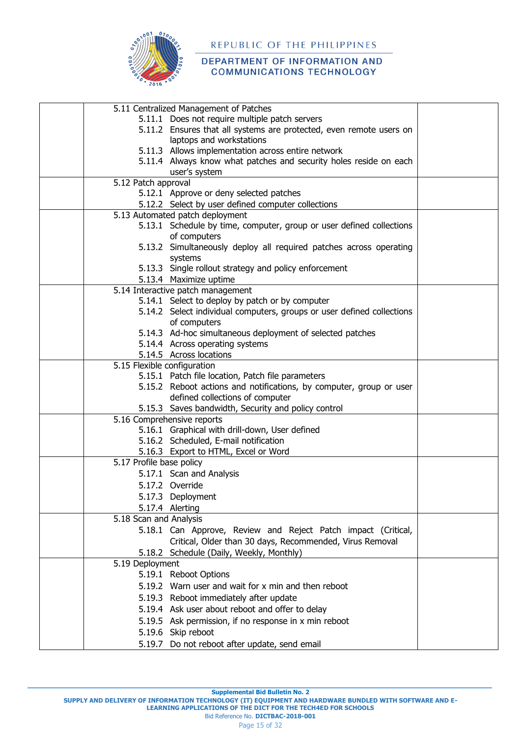

#### DEPARTMENT OF INFORMATION AND **COMMUNICATIONS TECHNOLOGY**

| 5.11 Centralized Management of Patches                                               |  |
|--------------------------------------------------------------------------------------|--|
| 5.11.1 Does not require multiple patch servers                                       |  |
| 5.11.2 Ensures that all systems are protected, even remote users on                  |  |
| laptops and workstations                                                             |  |
| 5.11.3 Allows implementation across entire network                                   |  |
| 5.11.4 Always know what patches and security holes reside on each                    |  |
| user's system                                                                        |  |
| 5.12 Patch approval                                                                  |  |
| 5.12.1 Approve or deny selected patches                                              |  |
| 5.12.2 Select by user defined computer collections                                   |  |
| 5.13 Automated patch deployment                                                      |  |
| 5.13.1 Schedule by time, computer, group or user defined collections                 |  |
| of computers                                                                         |  |
| 5.13.2 Simultaneously deploy all required patches across operating                   |  |
| systems                                                                              |  |
| 5.13.3 Single rollout strategy and policy enforcement                                |  |
| 5.13.4 Maximize uptime                                                               |  |
| 5.14 Interactive patch management<br>5.14.1 Select to deploy by patch or by computer |  |
| 5.14.2 Select individual computers, groups or user defined collections               |  |
| of computers                                                                         |  |
| 5.14.3 Ad-hoc simultaneous deployment of selected patches                            |  |
| 5.14.4 Across operating systems                                                      |  |
| 5.14.5 Across locations                                                              |  |
| 5.15 Flexible configuration                                                          |  |
| 5.15.1 Patch file location, Patch file parameters                                    |  |
| 5.15.2 Reboot actions and notifications, by computer, group or user                  |  |
| defined collections of computer                                                      |  |
| 5.15.3 Saves bandwidth, Security and policy control                                  |  |
| 5.16 Comprehensive reports                                                           |  |
| 5.16.1 Graphical with drill-down, User defined                                       |  |
| 5.16.2 Scheduled, E-mail notification                                                |  |
| 5.16.3 Export to HTML, Excel or Word                                                 |  |
| 5.17 Profile base policy                                                             |  |
| 5.17.1 Scan and Analysis                                                             |  |
| 5.17.2 Override                                                                      |  |
| 5.17.3 Deployment                                                                    |  |
| 5.17.4 Alerting                                                                      |  |
| 5.18 Scan and Analysis                                                               |  |
| 5.18.1 Can Approve, Review and Reject Patch impact (Critical,                        |  |
| Critical, Older than 30 days, Recommended, Virus Removal                             |  |
| 5.18.2 Schedule (Daily, Weekly, Monthly)                                             |  |
| 5.19 Deployment                                                                      |  |
| 5.19.1 Reboot Options                                                                |  |
| 5.19.2 Warn user and wait for x min and then reboot                                  |  |
| 5.19.3 Reboot immediately after update                                               |  |
| 5.19.4 Ask user about reboot and offer to delay                                      |  |
| 5.19.5 Ask permission, if no response in x min reboot                                |  |
|                                                                                      |  |
| 5.19.6 Skip reboot                                                                   |  |
| 5.19.7 Do not reboot after update, send email                                        |  |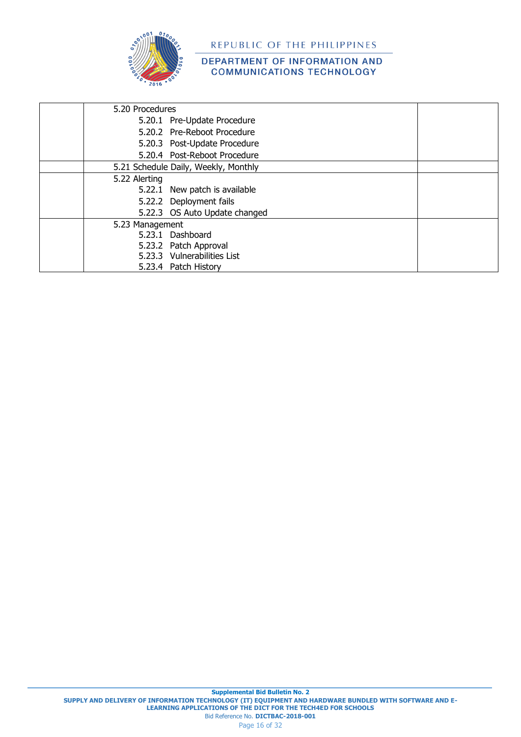

| 5.20 Procedures                      |  |
|--------------------------------------|--|
| 5.20.1 Pre-Update Procedure          |  |
| 5.20.2 Pre-Reboot Procedure          |  |
| 5.20.3 Post-Update Procedure         |  |
| 5.20.4 Post-Reboot Procedure         |  |
| 5.21 Schedule Daily, Weekly, Monthly |  |
| 5.22 Alerting                        |  |
| 5.22.1 New patch is available        |  |
| 5.22.2 Deployment fails              |  |
| 5.22.3 OS Auto Update changed        |  |
| 5.23 Management                      |  |
| 5.23.1 Dashboard                     |  |
| 5.23.2 Patch Approval                |  |
| 5.23.3 Vulnerabilities List          |  |
| 5.23.4 Patch History                 |  |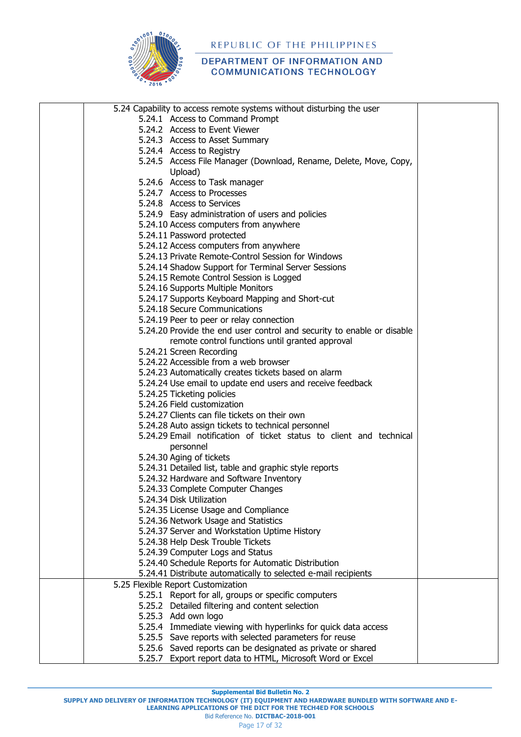

| 5.24 Capability to access remote systems without disturbing the user                                                      |  |
|---------------------------------------------------------------------------------------------------------------------------|--|
| 5.24.1 Access to Command Prompt                                                                                           |  |
| 5.24.2 Access to Event Viewer                                                                                             |  |
| 5.24.3 Access to Asset Summary                                                                                            |  |
| 5.24.4 Access to Registry                                                                                                 |  |
| 5.24.5 Access File Manager (Download, Rename, Delete, Move, Copy,                                                         |  |
| Upload)                                                                                                                   |  |
| 5.24.6 Access to Task manager                                                                                             |  |
| 5.24.7 Access to Processes                                                                                                |  |
| 5.24.8 Access to Services                                                                                                 |  |
| 5.24.9 Easy administration of users and policies                                                                          |  |
| 5.24.10 Access computers from anywhere                                                                                    |  |
| 5.24.11 Password protected                                                                                                |  |
| 5.24.12 Access computers from anywhere                                                                                    |  |
| 5.24.13 Private Remote-Control Session for Windows                                                                        |  |
| 5.24.14 Shadow Support for Terminal Server Sessions                                                                       |  |
| 5.24.15 Remote Control Session is Logged                                                                                  |  |
| 5.24.16 Supports Multiple Monitors                                                                                        |  |
| 5.24.17 Supports Keyboard Mapping and Short-cut                                                                           |  |
| 5.24.18 Secure Communications                                                                                             |  |
| 5.24.19 Peer to peer or relay connection                                                                                  |  |
| 5.24.20 Provide the end user control and security to enable or disable                                                    |  |
| remote control functions until granted approval                                                                           |  |
| 5.24.21 Screen Recording                                                                                                  |  |
| 5.24.22 Accessible from a web browser                                                                                     |  |
| 5.24.23 Automatically creates tickets based on alarm                                                                      |  |
| 5.24.24 Use email to update end users and receive feedback                                                                |  |
| 5.24.25 Ticketing policies                                                                                                |  |
| 5.24.26 Field customization                                                                                               |  |
| 5.24.27 Clients can file tickets on their own                                                                             |  |
|                                                                                                                           |  |
| 5.24.28 Auto assign tickets to technical personnel<br>5.24.29 Email notification of ticket status to client and technical |  |
|                                                                                                                           |  |
| personnel                                                                                                                 |  |
| 5.24.30 Aging of tickets                                                                                                  |  |
| 5.24.31 Detailed list, table and graphic style reports                                                                    |  |
| 5.24.32 Hardware and Software Inventory<br>5.24.33 Complete Computer Changes                                              |  |
| 5.24.34 Disk Utilization                                                                                                  |  |
| 5.24.35 License Usage and Compliance                                                                                      |  |
| 5.24.36 Network Usage and Statistics                                                                                      |  |
|                                                                                                                           |  |
| 5.24.37 Server and Workstation Uptime History<br>5.24.38 Help Desk Trouble Tickets                                        |  |
| 5.24.39 Computer Logs and Status                                                                                          |  |
|                                                                                                                           |  |
| 5.24.40 Schedule Reports for Automatic Distribution<br>5.24.41 Distribute automatically to selected e-mail recipients     |  |
| 5.25 Flexible Report Customization                                                                                        |  |
| 5.25.1 Report for all, groups or specific computers                                                                       |  |
| 5.25.2 Detailed filtering and content selection                                                                           |  |
| 5.25.3 Add own logo                                                                                                       |  |
| 5.25.4 Immediate viewing with hyperlinks for quick data access                                                            |  |
| 5.25.5 Save reports with selected parameters for reuse                                                                    |  |
| 5.25.6 Saved reports can be designated as private or shared                                                               |  |
| 5.25.7 Export report data to HTML, Microsoft Word or Excel                                                                |  |
|                                                                                                                           |  |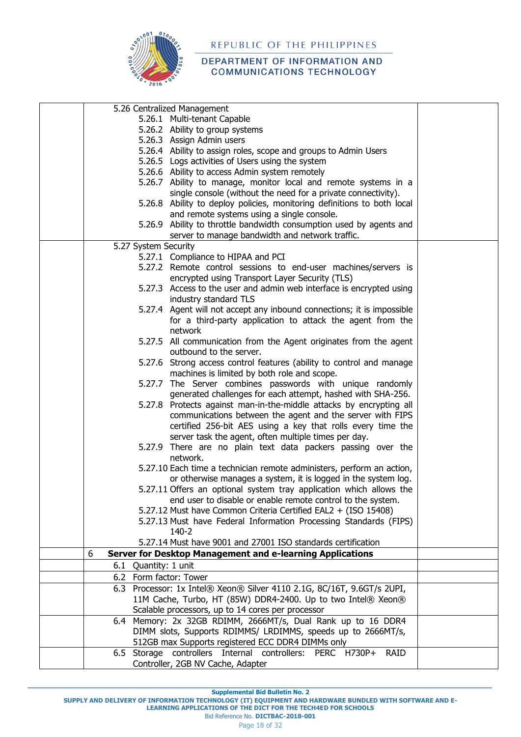

#### DEPARTMENT OF INFORMATION AND **COMMUNICATIONS TECHNOLOGY**

| 5.26 Centralized Management                                              |  |
|--------------------------------------------------------------------------|--|
| 5.26.1 Multi-tenant Capable                                              |  |
| 5.26.2 Ability to group systems                                          |  |
| 5.26.3 Assign Admin users                                                |  |
| 5.26.4 Ability to assign roles, scope and groups to Admin Users          |  |
| 5.26.5 Logs activities of Users using the system                         |  |
| 5.26.6 Ability to access Admin system remotely                           |  |
| 5.26.7 Ability to manage, monitor local and remote systems in a          |  |
| single console (without the need for a private connectivity).            |  |
| 5.26.8 Ability to deploy policies, monitoring definitions to both local  |  |
| and remote systems using a single console.                               |  |
| 5.26.9 Ability to throttle bandwidth consumption used by agents and      |  |
| server to manage bandwidth and network traffic.                          |  |
| 5.27 System Security                                                     |  |
| 5.27.1 Compliance to HIPAA and PCI                                       |  |
| 5.27.2 Remote control sessions to end-user machines/servers is           |  |
| encrypted using Transport Layer Security (TLS)                           |  |
| 5.27.3 Access to the user and admin web interface is encrypted using     |  |
| industry standard TLS                                                    |  |
| 5.27.4 Agent will not accept any inbound connections; it is impossible   |  |
| for a third-party application to attack the agent from the               |  |
| network                                                                  |  |
| 5.27.5 All communication from the Agent originates from the agent        |  |
| outbound to the server.                                                  |  |
| 5.27.6 Strong access control features (ability to control and manage     |  |
| machines is limited by both role and scope.                              |  |
| 5.27.7 The Server combines passwords with unique randomly                |  |
| generated challenges for each attempt, hashed with SHA-256.              |  |
| 5.27.8 Protects against man-in-the-middle attacks by encrypting all      |  |
| communications between the agent and the server with FIPS                |  |
| certified 256-bit AES using a key that rolls every time the              |  |
| server task the agent, often multiple times per day.                     |  |
| 5.27.9 There are no plain text data packers passing over the             |  |
| network.                                                                 |  |
| 5.27.10 Each time a technician remote administers, perform an action,    |  |
| or otherwise manages a system, it is logged in the system log.           |  |
| 5.27.11 Offers an optional system tray application which allows the      |  |
| end user to disable or enable remote control to the system.              |  |
| 5.27.12 Must have Common Criteria Certified EAL2 + (ISO 15408)           |  |
| 5.27.13 Must have Federal Information Processing Standards (FIPS)        |  |
| 140-2                                                                    |  |
| 5.27.14 Must have 9001 and 27001 ISO standards certification             |  |
| Server for Desktop Management and e-learning Applications<br>6           |  |
| 6.1 Quantity: 1 unit                                                     |  |
| 6.2 Form factor: Tower                                                   |  |
| 6.3 Processor: 1x Intel® Xeon® Silver 4110 2.1G, 8C/16T, 9.6GT/s 2UPI,   |  |
| 11M Cache, Turbo, HT (85W) DDR4-2400. Up to two Intel® Xeon®             |  |
| Scalable processors, up to 14 cores per processor                        |  |
| 6.4 Memory: 2x 32GB RDIMM, 2666MT/s, Dual Rank up to 16 DDR4             |  |
| DIMM slots, Supports RDIMMS/ LRDIMMS, speeds up to 2666MT/s,             |  |
| 512GB max Supports registered ECC DDR4 DIMMs only                        |  |
| 6.5 Storage controllers Internal controllers: PERC H730P+<br><b>RAID</b> |  |
| Controller, 2GB NV Cache, Adapter                                        |  |
|                                                                          |  |

**Supplemental Bid Bulletin No. 2**

**SUPPLY AND DELIVERY OF INFORMATION TECHNOLOGY (IT) EQUIPMENT AND HARDWARE BUNDLED WITH SOFTWARE AND E-LEARNING APPLICATIONS OF THE DICT FOR THE TECH4ED FOR SCHOOLS**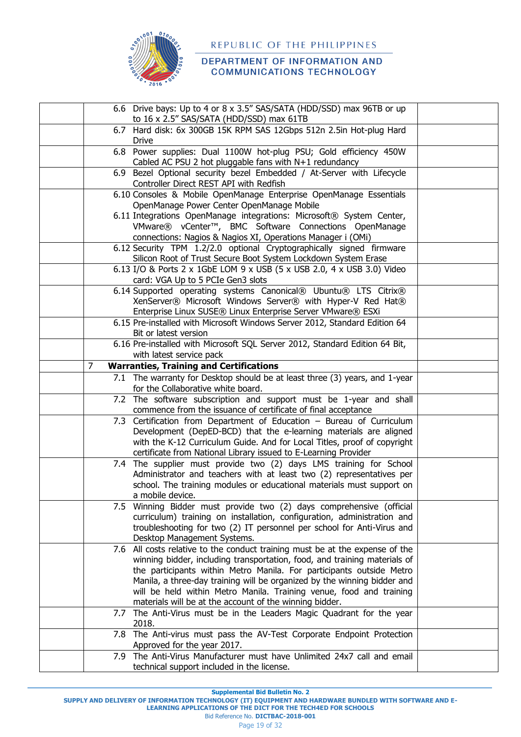

|   | 6.6 Drive bays: Up to 4 or 8 x 3.5" SAS/SATA (HDD/SSD) max 96TB or up                                                            |  |
|---|----------------------------------------------------------------------------------------------------------------------------------|--|
|   | to 16 x 2.5" SAS/SATA (HDD/SSD) max 61TB                                                                                         |  |
|   | 6.7 Hard disk: 6x 300GB 15K RPM SAS 12Gbps 512n 2.5in Hot-plug Hard<br><b>Drive</b>                                              |  |
|   | 6.8 Power supplies: Dual 1100W hot-plug PSU; Gold efficiency 450W<br>Cabled AC PSU 2 hot pluggable fans with N+1 redundancy      |  |
|   | 6.9 Bezel Optional security bezel Embedded / At-Server with Lifecycle<br>Controller Direct REST API with Redfish                 |  |
|   | 6.10 Consoles & Mobile OpenManage Enterprise OpenManage Essentials                                                               |  |
|   | OpenManage Power Center OpenManage Mobile                                                                                        |  |
|   | 6.11 Integrations OpenManage integrations: Microsoft® System Center,                                                             |  |
|   | VMware® vCenter™, BMC Software Connections OpenManage                                                                            |  |
|   | connections: Nagios & Nagios XI, Operations Manager i (OMi)                                                                      |  |
|   | 6.12 Security TPM 1.2/2.0 optional Cryptographically signed firmware                                                             |  |
|   | Silicon Root of Trust Secure Boot System Lockdown System Erase                                                                   |  |
|   | 6.13 I/O & Ports 2 x 1GbE LOM 9 x USB (5 x USB 2.0, 4 x USB 3.0) Video                                                           |  |
|   | card: VGA Up to 5 PCIe Gen3 slots                                                                                                |  |
|   | 6.14 Supported operating systems Canonical® Ubuntu® LTS Citrix®                                                                  |  |
|   | XenServer® Microsoft Windows Server® with Hyper-V Red Hat®<br>Enterprise Linux SUSE® Linux Enterprise Server VMware® ESXi        |  |
|   | 6.15 Pre-installed with Microsoft Windows Server 2012, Standard Edition 64                                                       |  |
|   | Bit or latest version                                                                                                            |  |
|   | 6.16 Pre-installed with Microsoft SQL Server 2012, Standard Edition 64 Bit,                                                      |  |
|   | with latest service pack                                                                                                         |  |
| 7 | <b>Warranties, Training and Certifications</b>                                                                                   |  |
|   | 7.1 The warranty for Desktop should be at least three (3) years, and 1-year<br>for the Collaborative white board.                |  |
|   | 7.2 The software subscription and support must be 1-year and shall                                                               |  |
|   | commence from the issuance of certificate of final acceptance                                                                    |  |
|   | 7.3 Certification from Department of Education - Bureau of Curriculum                                                            |  |
|   | Development (DepED-BCD) that the e-learning materials are aligned                                                                |  |
|   | with the K-12 Curriculum Guide. And for Local Titles, proof of copyright                                                         |  |
|   | certificate from National Library issued to E-Learning Provider                                                                  |  |
|   | 7.4 The supplier must provide two (2) days LMS training for School                                                               |  |
|   | Administrator and teachers with at least two (2) representatives per                                                             |  |
|   | school. The training modules or educational materials must support on<br>a mobile device.                                        |  |
|   | 7.5 Winning Bidder must provide two (2) days comprehensive (official                                                             |  |
|   | curriculum) training on installation, configuration, administration and                                                          |  |
|   | troubleshooting for two (2) IT personnel per school for Anti-Virus and                                                           |  |
|   | Desktop Management Systems.                                                                                                      |  |
|   | 7.6 All costs relative to the conduct training must be at the expense of the                                                     |  |
|   | winning bidder, including transportation, food, and training materials of                                                        |  |
|   | the participants within Metro Manila. For participants outside Metro                                                             |  |
|   | Manila, a three-day training will be organized by the winning bidder and                                                         |  |
|   | will be held within Metro Manila. Training venue, food and training                                                              |  |
|   | materials will be at the account of the winning bidder.<br>7.7 The Anti-Virus must be in the Leaders Magic Quadrant for the year |  |
|   | 2018.                                                                                                                            |  |
|   | 7.8 The Anti-virus must pass the AV-Test Corporate Endpoint Protection                                                           |  |
|   | Approved for the year 2017.                                                                                                      |  |
|   | 7.9 The Anti-Virus Manufacturer must have Unlimited 24x7 call and email                                                          |  |
|   | technical support included in the license.                                                                                       |  |

**Supplemental Bid Bulletin No. 2**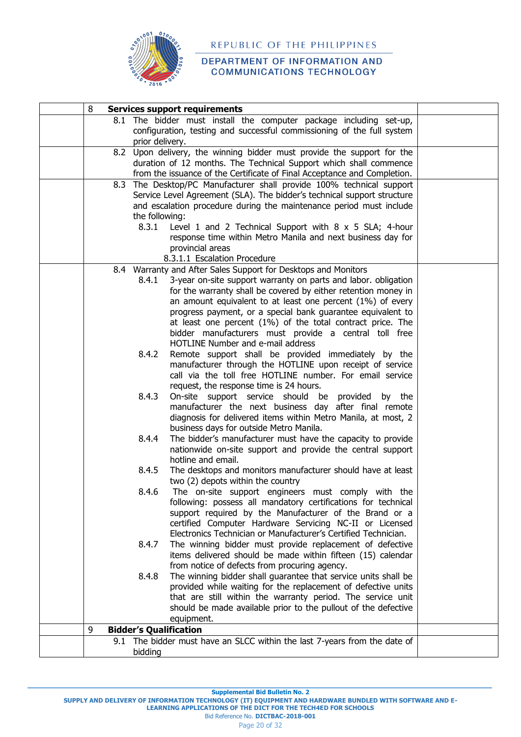

#### DEPARTMENT OF INFORMATION AND **COMMUNICATIONS TECHNOLOGY**

| 8 | <b>Services support requirements</b>                                                                                         |  |
|---|------------------------------------------------------------------------------------------------------------------------------|--|
|   | 8.1 The bidder must install the computer package including set-up,                                                           |  |
|   | configuration, testing and successful commissioning of the full system                                                       |  |
|   | prior delivery.<br>8.2 Upon delivery, the winning bidder must provide the support for the                                    |  |
|   | duration of 12 months. The Technical Support which shall commence                                                            |  |
|   | from the issuance of the Certificate of Final Acceptance and Completion.                                                     |  |
|   | 8.3 The Desktop/PC Manufacturer shall provide 100% technical support                                                         |  |
|   | Service Level Agreement (SLA). The bidder's technical support structure                                                      |  |
|   | and escalation procedure during the maintenance period must include                                                          |  |
|   | the following:                                                                                                               |  |
|   | 8.3.1<br>Level 1 and 2 Technical Support with 8 x 5 SLA; 4-hour                                                              |  |
|   | response time within Metro Manila and next business day for                                                                  |  |
|   | provincial areas                                                                                                             |  |
|   | 8.3.1.1 Escalation Procedure<br>8.4 Warranty and After Sales Support for Desktops and Monitors                               |  |
|   | 3-year on-site support warranty on parts and labor. obligation<br>8.4.1                                                      |  |
|   | for the warranty shall be covered by either retention money in                                                               |  |
|   | an amount equivalent to at least one percent (1%) of every                                                                   |  |
|   | progress payment, or a special bank guarantee equivalent to                                                                  |  |
|   | at least one percent (1%) of the total contract price. The                                                                   |  |
|   | bidder manufacturers must provide a central toll free                                                                        |  |
|   | <b>HOTLINE Number and e-mail address</b>                                                                                     |  |
|   | 8.4.2<br>Remote support shall be provided immediately by the                                                                 |  |
|   | manufacturer through the HOTLINE upon receipt of service<br>call via the toll free HOTLINE number. For email service         |  |
|   | request, the response time is 24 hours.                                                                                      |  |
|   | 8.4.3<br>On-site support service should be provided<br>by the                                                                |  |
|   | manufacturer the next business day after final remote                                                                        |  |
|   | diagnosis for delivered items within Metro Manila, at most, 2                                                                |  |
|   | business days for outside Metro Manila.                                                                                      |  |
|   | The bidder's manufacturer must have the capacity to provide<br>8.4.4                                                         |  |
|   | nationwide on-site support and provide the central support                                                                   |  |
|   | hotline and email.                                                                                                           |  |
|   | 8.4.5<br>The desktops and monitors manufacturer should have at least                                                         |  |
|   | two (2) depots within the country<br>The on-site support engineers must comply with the<br>8.4.6                             |  |
|   | following: possess all mandatory certifications for technical                                                                |  |
|   | support required by the Manufacturer of the Brand or a                                                                       |  |
|   | certified Computer Hardware Servicing NC-II or Licensed                                                                      |  |
|   | Electronics Technician or Manufacturer's Certified Technician.                                                               |  |
|   | The winning bidder must provide replacement of defective<br>8.4.7                                                            |  |
|   | items delivered should be made within fifteen (15) calendar                                                                  |  |
|   | from notice of defects from procuring agency.                                                                                |  |
|   | The winning bidder shall guarantee that service units shall be<br>8.4.8                                                      |  |
|   | provided while waiting for the replacement of defective units<br>that are still within the warranty period. The service unit |  |
|   | should be made available prior to the pullout of the defective                                                               |  |
|   | equipment.                                                                                                                   |  |
| 9 | <b>Bidder's Qualification</b>                                                                                                |  |
|   | 9.1 The bidder must have an SLCC within the last 7-years from the date of                                                    |  |
|   | bidding                                                                                                                      |  |

**Supplemental Bid Bulletin No. 2**

**SUPPLY AND DELIVERY OF INFORMATION TECHNOLOGY (IT) EQUIPMENT AND HARDWARE BUNDLED WITH SOFTWARE AND E-**

**LEARNING APPLICATIONS OF THE DICT FOR THE TECH4ED FOR SCHOOLS** Bid Reference No. **DICTBAC-2018-001**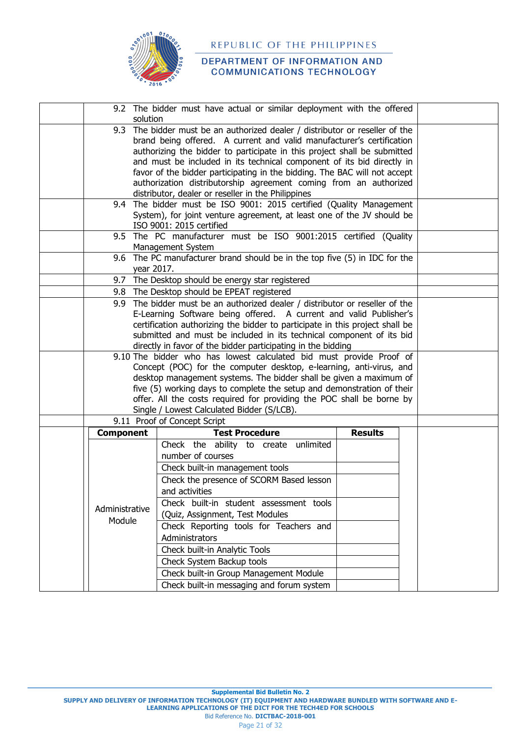

|                  | 9.2 The bidder must have actual or similar deployment with the offered                                                                          |                |  |
|------------------|-------------------------------------------------------------------------------------------------------------------------------------------------|----------------|--|
| solution         | 9.3 The bidder must be an authorized dealer / distributor or reseller of the                                                                    |                |  |
|                  | brand being offered. A current and valid manufacturer's certification                                                                           |                |  |
|                  | authorizing the bidder to participate in this project shall be submitted                                                                        |                |  |
|                  | and must be included in its technical component of its bid directly in                                                                          |                |  |
|                  | favor of the bidder participating in the bidding. The BAC will not accept                                                                       |                |  |
|                  | authorization distributorship agreement coming from an authorized                                                                               |                |  |
|                  | distributor, dealer or reseller in the Philippines                                                                                              |                |  |
|                  | 9.4 The bidder must be ISO 9001: 2015 certified (Quality Management                                                                             |                |  |
|                  | System), for joint venture agreement, at least one of the JV should be<br>ISO 9001: 2015 certified                                              |                |  |
|                  | 9.5 The PC manufacturer must be ISO 9001:2015 certified (Quality                                                                                |                |  |
|                  | Management System                                                                                                                               |                |  |
|                  | 9.6 The PC manufacturer brand should be in the top five (5) in IDC for the                                                                      |                |  |
|                  | vear 2017.                                                                                                                                      |                |  |
|                  | 9.7 The Desktop should be energy star registered                                                                                                |                |  |
|                  | 9.8 The Desktop should be EPEAT registered<br>9.9 The bidder must be an authorized dealer / distributor or reseller of the                      |                |  |
|                  | E-Learning Software being offered. A current and valid Publisher's                                                                              |                |  |
|                  | certification authorizing the bidder to participate in this project shall be                                                                    |                |  |
|                  | submitted and must be included in its technical component of its bid                                                                            |                |  |
|                  | directly in favor of the bidder participating in the bidding                                                                                    |                |  |
|                  | 9.10 The bidder who has lowest calculated bid must provide Proof of                                                                             |                |  |
|                  | Concept (POC) for the computer desktop, e-learning, anti-virus, and                                                                             |                |  |
|                  | desktop management systems. The bidder shall be given a maximum of                                                                              |                |  |
|                  | five (5) working days to complete the setup and demonstration of their<br>offer. All the costs required for providing the POC shall be borne by |                |  |
|                  | Single / Lowest Calculated Bidder (S/LCB).                                                                                                      |                |  |
|                  | 9.11 Proof of Concept Script                                                                                                                    |                |  |
| <b>Component</b> | <b>Test Procedure</b>                                                                                                                           | <b>Results</b> |  |
|                  | Check the ability to create unlimited                                                                                                           |                |  |
|                  | number of courses                                                                                                                               |                |  |
|                  | Check built-in management tools                                                                                                                 |                |  |
|                  | Check the presence of SCORM Based lesson                                                                                                        |                |  |
|                  | and activities                                                                                                                                  |                |  |
|                  | Check built-in student assessment tools                                                                                                         |                |  |
| Administrative   | (Quiz, Assignment, Test Modules                                                                                                                 |                |  |
| Module           | Check Reporting tools for Teachers and                                                                                                          |                |  |
|                  | Administrators                                                                                                                                  |                |  |
|                  | Check built-in Analytic Tools                                                                                                                   |                |  |
|                  | Check System Backup tools                                                                                                                       |                |  |
|                  | Check built-in Group Management Module                                                                                                          |                |  |
|                  | Check built-in messaging and forum system                                                                                                       |                |  |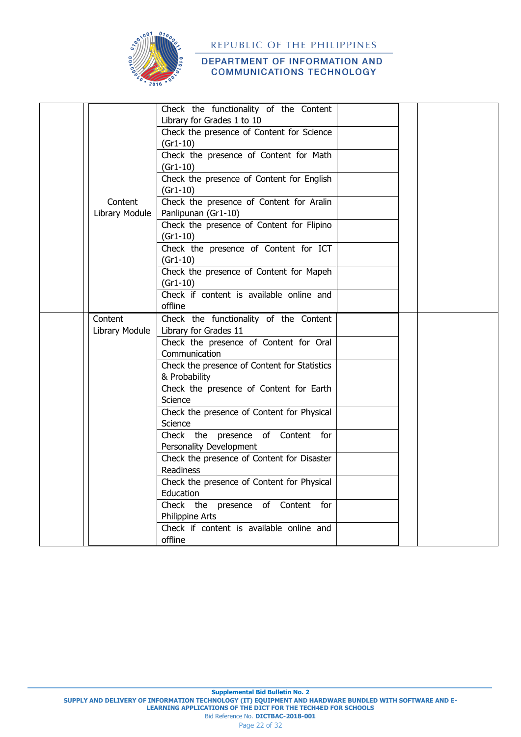

|                | Check the functionality of the Content                                  |  |  |
|----------------|-------------------------------------------------------------------------|--|--|
|                | Library for Grades 1 to 10<br>Check the presence of Content for Science |  |  |
|                | $(Gr1-10)$                                                              |  |  |
|                | Check the presence of Content for Math                                  |  |  |
|                | $(Gr1-10)$                                                              |  |  |
|                | Check the presence of Content for English                               |  |  |
|                | $(Gr1-10)$                                                              |  |  |
| Content        | Check the presence of Content for Aralin                                |  |  |
| Library Module | Panlipunan (Gr1-10)                                                     |  |  |
|                | Check the presence of Content for Flipino                               |  |  |
|                | $(Gr1-10)$                                                              |  |  |
|                | Check the presence of Content for ICT                                   |  |  |
|                | $(Gr1-10)$                                                              |  |  |
|                | Check the presence of Content for Mapeh                                 |  |  |
|                | $(Gr1-10)$                                                              |  |  |
|                | Check if content is available online and                                |  |  |
|                | offline                                                                 |  |  |
| Content        | Check the functionality of the Content                                  |  |  |
| Library Module | Library for Grades 11                                                   |  |  |
|                | Check the presence of Content for Oral                                  |  |  |
|                | Communication                                                           |  |  |
|                | Check the presence of Content for Statistics                            |  |  |
|                | & Probability                                                           |  |  |
|                | Check the presence of Content for Earth                                 |  |  |
|                | Science                                                                 |  |  |
|                | Check the presence of Content for Physical                              |  |  |
|                | Science                                                                 |  |  |
|                | Check the presence of Content for                                       |  |  |
|                | Personality Development                                                 |  |  |
|                | Check the presence of Content for Disaster                              |  |  |
|                | Readiness                                                               |  |  |
|                | Check the presence of Content for Physical                              |  |  |
|                | Education                                                               |  |  |
|                | Check the presence of Content for                                       |  |  |
|                | Philippine Arts                                                         |  |  |
|                | Check if content is available online and                                |  |  |
|                | offline                                                                 |  |  |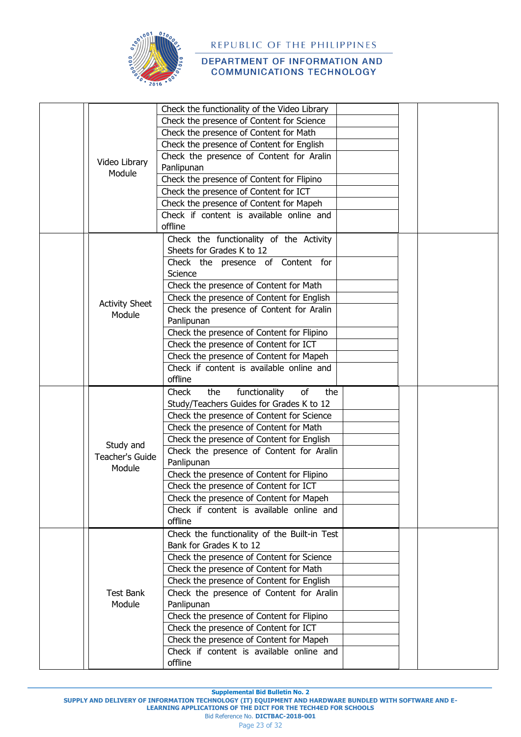

## DEPARTMENT OF INFORMATION AND **COMMUNICATIONS TECHNOLOGY**

|  |                       | Check the functionality of the Video Library |  |  |
|--|-----------------------|----------------------------------------------|--|--|
|  |                       |                                              |  |  |
|  |                       | Check the presence of Content for Science    |  |  |
|  |                       | Check the presence of Content for Math       |  |  |
|  |                       | Check the presence of Content for English    |  |  |
|  | Video Library         | Check the presence of Content for Aralin     |  |  |
|  | Module                | Panlipunan                                   |  |  |
|  |                       | Check the presence of Content for Flipino    |  |  |
|  |                       | Check the presence of Content for ICT        |  |  |
|  |                       | Check the presence of Content for Mapeh      |  |  |
|  |                       | Check if content is available online and     |  |  |
|  |                       | offline                                      |  |  |
|  |                       | Check the functionality of the Activity      |  |  |
|  |                       | Sheets for Grades K to 12                    |  |  |
|  |                       | Check the presence of Content for            |  |  |
|  |                       | Science                                      |  |  |
|  |                       | Check the presence of Content for Math       |  |  |
|  |                       | Check the presence of Content for English    |  |  |
|  | <b>Activity Sheet</b> | Check the presence of Content for Aralin     |  |  |
|  | Module                | Panlipunan                                   |  |  |
|  |                       | Check the presence of Content for Flipino    |  |  |
|  |                       | Check the presence of Content for ICT        |  |  |
|  |                       | Check the presence of Content for Mapeh      |  |  |
|  |                       | Check if content is available online and     |  |  |
|  |                       | offline                                      |  |  |
|  |                       |                                              |  |  |
|  |                       | functionality<br>Check<br>the<br>of<br>the   |  |  |
|  |                       | Study/Teachers Guides for Grades K to 12     |  |  |
|  |                       | Check the presence of Content for Science    |  |  |
|  |                       | Check the presence of Content for Math       |  |  |
|  | Study and             | Check the presence of Content for English    |  |  |
|  | Teacher's Guide       | Check the presence of Content for Aralin     |  |  |
|  | Module                | Panlipunan                                   |  |  |
|  |                       | Check the presence of Content for Flipino    |  |  |
|  |                       | Check the presence of Content for ICT        |  |  |
|  |                       | Check the presence of Content for Mapeh      |  |  |
|  |                       | Check if content is available online and     |  |  |
|  |                       | offline                                      |  |  |
|  |                       | Check the functionality of the Built-in Test |  |  |
|  |                       | Bank for Grades K to 12                      |  |  |
|  |                       | Check the presence of Content for Science    |  |  |
|  |                       | Check the presence of Content for Math       |  |  |
|  |                       | Check the presence of Content for English    |  |  |
|  | <b>Test Bank</b>      | Check the presence of Content for Aralin     |  |  |
|  | Module                | Panlipunan                                   |  |  |
|  |                       | Check the presence of Content for Flipino    |  |  |
|  |                       |                                              |  |  |
|  |                       | Check the presence of Content for ICT        |  |  |
|  |                       | Check the presence of Content for Mapeh      |  |  |
|  |                       | Check if content is available online and     |  |  |
|  |                       | offline                                      |  |  |

**Supplemental Bid Bulletin No. 2**

**SUPPLY AND DELIVERY OF INFORMATION TECHNOLOGY (IT) EQUIPMENT AND HARDWARE BUNDLED WITH SOFTWARE AND E-**

**LEARNING APPLICATIONS OF THE DICT FOR THE TECH4ED FOR SCHOOLS**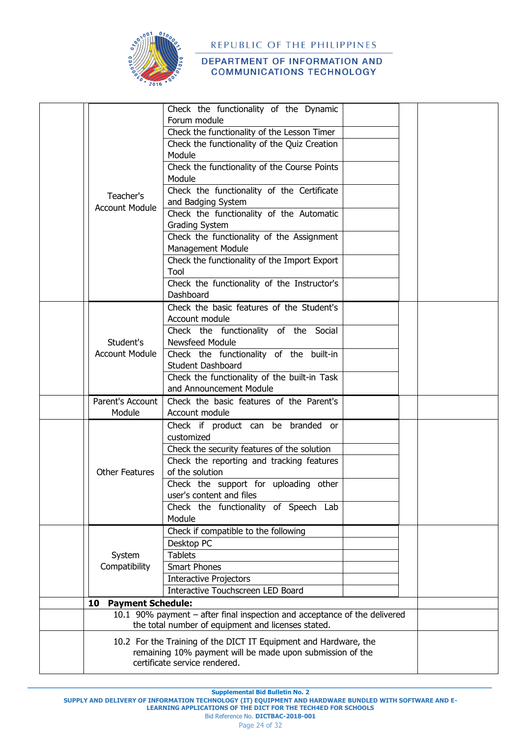

|  |                                                    | Check the functionality of the Dynamic                                    |  |  |  |
|--|----------------------------------------------------|---------------------------------------------------------------------------|--|--|--|
|  |                                                    | Forum module                                                              |  |  |  |
|  |                                                    | Check the functionality of the Lesson Timer                               |  |  |  |
|  |                                                    | Check the functionality of the Quiz Creation                              |  |  |  |
|  |                                                    | Module                                                                    |  |  |  |
|  |                                                    | Check the functionality of the Course Points                              |  |  |  |
|  |                                                    | Module                                                                    |  |  |  |
|  | Teacher's                                          | Check the functionality of the Certificate                                |  |  |  |
|  | <b>Account Module</b>                              | and Badging System                                                        |  |  |  |
|  |                                                    | Check the functionality of the Automatic                                  |  |  |  |
|  |                                                    | Grading System                                                            |  |  |  |
|  |                                                    | Check the functionality of the Assignment                                 |  |  |  |
|  |                                                    | Management Module                                                         |  |  |  |
|  |                                                    | Check the functionality of the Import Export<br>Tool                      |  |  |  |
|  |                                                    | Check the functionality of the Instructor's                               |  |  |  |
|  |                                                    | Dashboard                                                                 |  |  |  |
|  |                                                    | Check the basic features of the Student's                                 |  |  |  |
|  |                                                    | Account module                                                            |  |  |  |
|  |                                                    | Check the functionality of the Social                                     |  |  |  |
|  | Student's<br><b>Account Module</b>                 | Newsfeed Module                                                           |  |  |  |
|  |                                                    | Check the functionality of the built-in                                   |  |  |  |
|  |                                                    | <b>Student Dashboard</b>                                                  |  |  |  |
|  |                                                    | Check the functionality of the built-in Task                              |  |  |  |
|  |                                                    | and Announcement Module                                                   |  |  |  |
|  | Parent's Account                                   | Check the basic features of the Parent's                                  |  |  |  |
|  | Module                                             | Account module                                                            |  |  |  |
|  |                                                    | Check if product can be branded or<br>customized                          |  |  |  |
|  |                                                    | Check the security features of the solution                               |  |  |  |
|  |                                                    | Check the reporting and tracking features                                 |  |  |  |
|  | <b>Other Features</b>                              | of the solution                                                           |  |  |  |
|  |                                                    | Check the support for uploading other                                     |  |  |  |
|  |                                                    | user's content and files                                                  |  |  |  |
|  |                                                    | Check the functionality of Speech Lab                                     |  |  |  |
|  |                                                    | Module                                                                    |  |  |  |
|  |                                                    | Check if compatible to the following                                      |  |  |  |
|  |                                                    | Desktop PC                                                                |  |  |  |
|  | System                                             | <b>Tablets</b>                                                            |  |  |  |
|  | Compatibility                                      | <b>Smart Phones</b>                                                       |  |  |  |
|  |                                                    | <b>Interactive Projectors</b><br>Interactive Touchscreen LED Board        |  |  |  |
|  | <b>Payment Schedule:</b><br>10                     |                                                                           |  |  |  |
|  |                                                    | 10.1 90% payment - after final inspection and acceptance of the delivered |  |  |  |
|  | the total number of equipment and licenses stated. |                                                                           |  |  |  |
|  |                                                    | 10.2 For the Training of the DICT IT Equipment and Hardware, the          |  |  |  |
|  |                                                    | remaining 10% payment will be made upon submission of the                 |  |  |  |
|  |                                                    | certificate service rendered.                                             |  |  |  |

**Supplemental Bid Bulletin No. 2**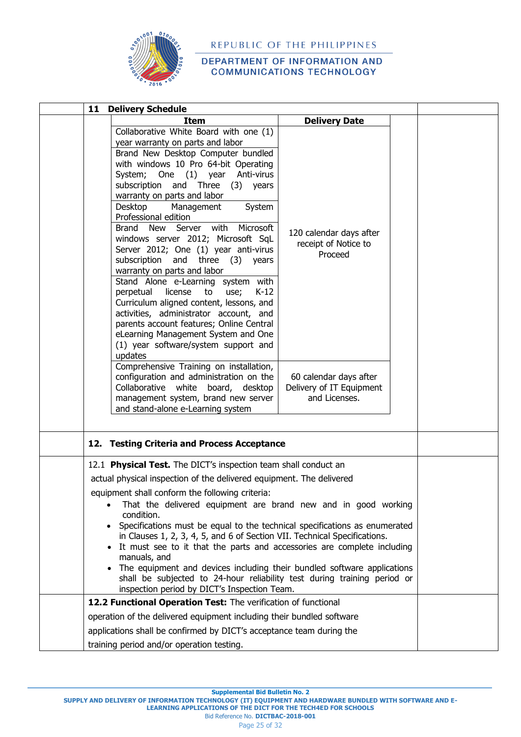

#### DEPARTMENT OF INFORMATION AND **COMMUNICATIONS TECHNOLOGY**

| 11<br><b>Delivery Schedule</b>                                                                                                                                                                                                                                                                                                                                                                                                                                                                                                                                                                                                                                                                                                                                                                                                           |                                                                     |  |  |  |  |
|------------------------------------------------------------------------------------------------------------------------------------------------------------------------------------------------------------------------------------------------------------------------------------------------------------------------------------------------------------------------------------------------------------------------------------------------------------------------------------------------------------------------------------------------------------------------------------------------------------------------------------------------------------------------------------------------------------------------------------------------------------------------------------------------------------------------------------------|---------------------------------------------------------------------|--|--|--|--|
| <b>Item</b>                                                                                                                                                                                                                                                                                                                                                                                                                                                                                                                                                                                                                                                                                                                                                                                                                              | <b>Delivery Date</b>                                                |  |  |  |  |
| Collaborative White Board with one (1)<br>year warranty on parts and labor<br>Brand New Desktop Computer bundled<br>with windows 10 Pro 64-bit Operating<br>System; One (1) year Anti-virus<br>subscription and Three<br>(3)<br>years<br>warranty on parts and labor<br>Desktop<br>Management<br>System<br>Professional edition<br>Server with<br>Brand New<br>Microsoft<br>windows server 2012; Microsoft SqL<br>Server 2012; One (1) year anti-virus<br>subscription<br>and three $(3)$<br>years<br>warranty on parts and labor<br>Stand Alone e-Learning system with<br>license<br>$K-12$<br>perpetual<br>to<br>use;<br>Curriculum aligned content, lessons, and<br>activities, administrator account, and<br>parents account features; Online Central<br>eLearning Management System and One<br>(1) year software/system support and | 120 calendar days after<br>receipt of Notice to<br>Proceed          |  |  |  |  |
| updates<br>Comprehensive Training on installation,<br>configuration and administration on the<br>Collaborative white board, desktop<br>management system, brand new server<br>and stand-alone e-Learning system                                                                                                                                                                                                                                                                                                                                                                                                                                                                                                                                                                                                                          | 60 calendar days after<br>Delivery of IT Equipment<br>and Licenses. |  |  |  |  |
| 12. Testing Criteria and Process Acceptance                                                                                                                                                                                                                                                                                                                                                                                                                                                                                                                                                                                                                                                                                                                                                                                              |                                                                     |  |  |  |  |
| 12.1 Physical Test. The DICT's inspection team shall conduct an<br>actual physical inspection of the delivered equipment. The delivered<br>equipment shall conform the following criteria:<br>That the delivered equipment are brand new and in good working<br>condition.<br>Specifications must be equal to the technical specifications as enumerated<br>in Clauses 1, 2, 3, 4, 5, and 6 of Section VII. Technical Specifications.<br>It must see to it that the parts and accessories are complete including<br>manuals, and<br>The equipment and devices including their bundled software applications<br>shall be subjected to 24-hour reliability test during training period or<br>inspection period by DICT's Inspection Team.<br>12.2 Functional Operation Test: The verification of functional                                |                                                                     |  |  |  |  |
|                                                                                                                                                                                                                                                                                                                                                                                                                                                                                                                                                                                                                                                                                                                                                                                                                                          |                                                                     |  |  |  |  |
| operation of the delivered equipment including their bundled software                                                                                                                                                                                                                                                                                                                                                                                                                                                                                                                                                                                                                                                                                                                                                                    |                                                                     |  |  |  |  |
| applications shall be confirmed by DICT's acceptance team during the                                                                                                                                                                                                                                                                                                                                                                                                                                                                                                                                                                                                                                                                                                                                                                     |                                                                     |  |  |  |  |
| training period and/or operation testing.                                                                                                                                                                                                                                                                                                                                                                                                                                                                                                                                                                                                                                                                                                                                                                                                |                                                                     |  |  |  |  |

**Supplemental Bid Bulletin No. 2**

Bid Reference No. **DICTBAC-2018-001**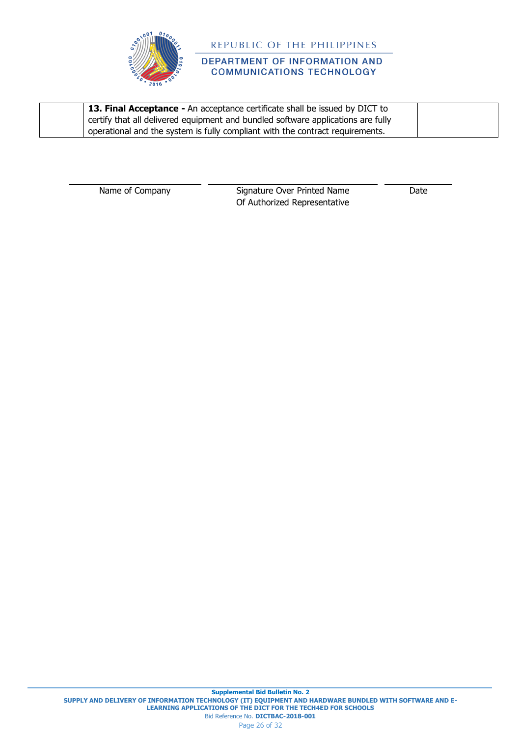

# DEPARTMENT OF INFORMATION AND **COMMUNICATIONS TECHNOLOGY**

| 13. Final Acceptance - An acceptance certificate shall be issued by DICT to      |  |
|----------------------------------------------------------------------------------|--|
| certify that all delivered equipment and bundled software applications are fully |  |
| operational and the system is fully compliant with the contract requirements.    |  |

Name of Company Signature Over Printed Name Of Authorized Representative Date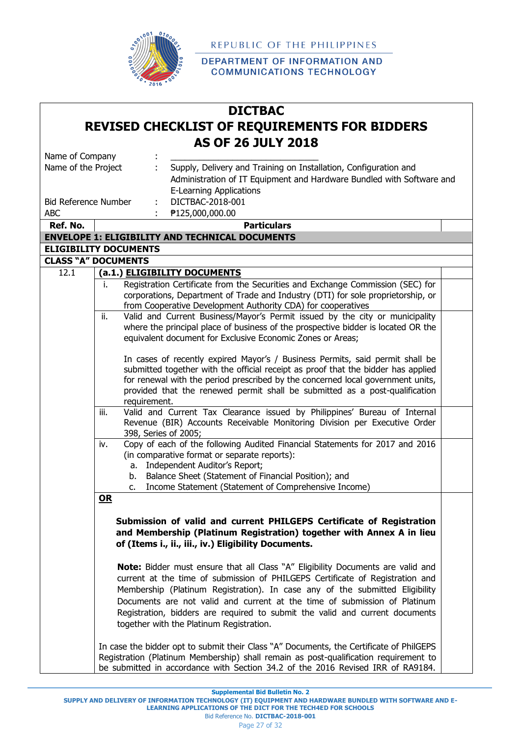

DEPARTMENT OF INFORMATION AND **COMMUNICATIONS TECHNOLOGY** 

# **DICTBAC REVISED CHECKLIST OF REQUIREMENTS FOR BIDDERS AS OF 26 JULY 2018**

| Name of Company             |                                                                                         |  |
|-----------------------------|-----------------------------------------------------------------------------------------|--|
| Name of the Project         | Supply, Delivery and Training on Installation, Configuration and                        |  |
|                             | Administration of IT Equipment and Hardware Bundled with Software and                   |  |
|                             | <b>E-Learning Applications</b>                                                          |  |
| <b>Bid Reference Number</b> | DICTBAC-2018-001                                                                        |  |
| <b>ABC</b>                  | ₱125,000,000.00                                                                         |  |
| Ref. No.                    | <b>Particulars</b>                                                                      |  |
|                             | <b>ENVELOPE 1: ELIGIBILITY AND TECHNICAL DOCUMENTS</b>                                  |  |
|                             | <b>ELIGIBILITY DOCUMENTS</b>                                                            |  |
|                             | <b>CLASS "A" DOCUMENTS</b>                                                              |  |
| 12.1                        | (a.1.) ELIGIBILITY DOCUMENTS                                                            |  |
|                             | Registration Certificate from the Securities and Exchange Commission (SEC) for<br>i.    |  |
|                             | corporations, Department of Trade and Industry (DTI) for sole proprietorship, or        |  |
|                             | from Cooperative Development Authority CDA) for cooperatives                            |  |
|                             | ii.<br>Valid and Current Business/Mayor's Permit issued by the city or municipality     |  |
|                             | where the principal place of business of the prospective bidder is located OR the       |  |
|                             | equivalent document for Exclusive Economic Zones or Areas;                              |  |
|                             | In cases of recently expired Mayor's / Business Permits, said permit shall be           |  |
|                             | submitted together with the official receipt as proof that the bidder has applied       |  |
|                             | for renewal with the period prescribed by the concerned local government units,         |  |
|                             | provided that the renewed permit shall be submitted as a post-qualification             |  |
|                             | requirement.                                                                            |  |
|                             | Valid and Current Tax Clearance issued by Philippines' Bureau of Internal<br>iii.       |  |
|                             | Revenue (BIR) Accounts Receivable Monitoring Division per Executive Order               |  |
|                             | 398, Series of 2005;                                                                    |  |
|                             | Copy of each of the following Audited Financial Statements for 2017 and 2016<br>iv.     |  |
|                             | (in comparative format or separate reports):                                            |  |
|                             | a. Independent Auditor's Report;                                                        |  |
|                             | Balance Sheet (Statement of Financial Position); and<br>b.                              |  |
|                             | Income Statement (Statement of Comprehensive Income)<br>$C_{1}$                         |  |
|                             | OR                                                                                      |  |
|                             |                                                                                         |  |
|                             | Submission of valid and current PHILGEPS Certificate of Registration                    |  |
|                             | and Membership (Platinum Registration) together with Annex A in lieu                    |  |
|                             | of (Items i., ii., iii., iv.) Eligibility Documents.                                    |  |
|                             |                                                                                         |  |
|                             | Note: Bidder must ensure that all Class "A" Eligibility Documents are valid and         |  |
|                             | current at the time of submission of PHILGEPS Certificate of Registration and           |  |
|                             | Membership (Platinum Registration). In case any of the submitted Eligibility            |  |
|                             | Documents are not valid and current at the time of submission of Platinum               |  |
|                             | Registration, bidders are required to submit the valid and current documents            |  |
|                             | together with the Platinum Registration.                                                |  |
|                             | In case the bidder opt to submit their Class "A" Documents, the Certificate of PhilGEPS |  |
|                             | Registration (Platinum Membership) shall remain as post-qualification requirement to    |  |
|                             | be submitted in accordance with Section 34.2 of the 2016 Revised IRR of RA9184.         |  |
|                             |                                                                                         |  |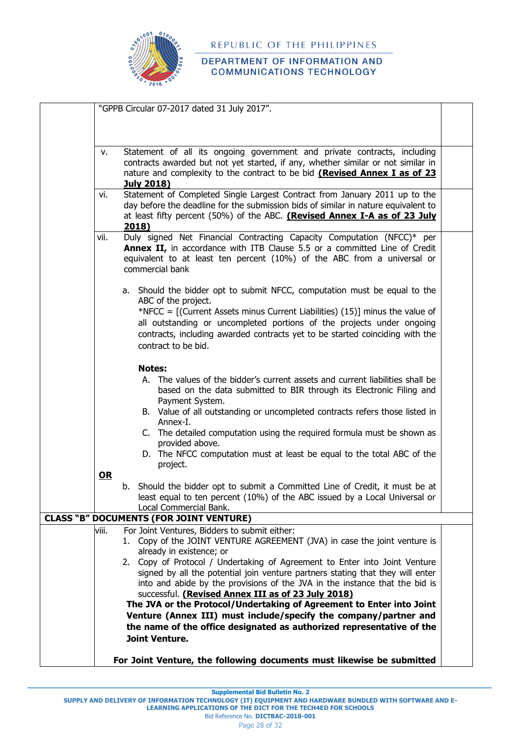

## DEPARTMENT OF INFORMATION AND **COMMUNICATIONS TECHNOLOGY**

|       | "GPPB Circular 07-2017 dated 31 July 2017".                                                                                                                                                                                                                    |  |
|-------|----------------------------------------------------------------------------------------------------------------------------------------------------------------------------------------------------------------------------------------------------------------|--|
|       |                                                                                                                                                                                                                                                                |  |
|       |                                                                                                                                                                                                                                                                |  |
| v.    | Statement of all its ongoing government and private contracts, including<br>contracts awarded but not yet started, if any, whether similar or not similar in<br>nature and complexity to the contract to be bid (Revised Annex I as of 23                      |  |
|       | <b>July 2018)</b>                                                                                                                                                                                                                                              |  |
| vi.   | Statement of Completed Single Largest Contract from January 2011 up to the<br>day before the deadline for the submission bids of similar in nature equivalent to<br>at least fifty percent (50%) of the ABC. (Revised Annex I-A as of 23 July<br>2018)         |  |
| vii.  | Duly signed Net Financial Contracting Capacity Computation (NFCC)* per<br>Annex II, in accordance with ITB Clause 5.5 or a committed Line of Credit<br>equivalent to at least ten percent (10%) of the ABC from a universal or<br>commercial bank              |  |
|       | a. Should the bidder opt to submit NFCC, computation must be equal to the<br>ABC of the project.                                                                                                                                                               |  |
|       | *NFCC = $[(Current Assets minus Current Liabilities) (15)]$ minus the value of<br>all outstanding or uncompleted portions of the projects under ongoing<br>contracts, including awarded contracts yet to be started coinciding with the<br>contract to be bid. |  |
|       | <b>Notes:</b>                                                                                                                                                                                                                                                  |  |
|       | A. The values of the bidder's current assets and current liabilities shall be<br>based on the data submitted to BIR through its Electronic Filing and<br>Payment System.                                                                                       |  |
|       | B. Value of all outstanding or uncompleted contracts refers those listed in<br>Annex-I.<br>C. The detailed computation using the required formula must be shown as                                                                                             |  |
|       | provided above.<br>D. The NFCC computation must at least be equal to the total ABC of the                                                                                                                                                                      |  |
| $OR$  | project.                                                                                                                                                                                                                                                       |  |
|       | b. Should the bidder opt to submit a Committed Line of Credit, it must be at<br>least equal to ten percent (10%) of the ABC issued by a Local Universal or<br>Local Commercial Bank.                                                                           |  |
|       | <b>CLASS "B" DOCUMENTS (FOR JOINT VENTURE)</b>                                                                                                                                                                                                                 |  |
| viii. | For Joint Ventures, Bidders to submit either:<br>Copy of the JOINT VENTURE AGREEMENT (JVA) in case the joint venture is<br>1.<br>already in existence; or                                                                                                      |  |
|       | 2. Copy of Protocol / Undertaking of Agreement to Enter into Joint Venture<br>signed by all the potential join venture partners stating that they will enter<br>into and abide by the provisions of the JVA in the instance that the bid is                    |  |
|       | successful. (Revised Annex III as of 23 July 2018)                                                                                                                                                                                                             |  |
|       | The JVA or the Protocol/Undertaking of Agreement to Enter into Joint<br>Venture (Annex III) must include/specify the company/partner and                                                                                                                       |  |
|       | the name of the office designated as authorized representative of the                                                                                                                                                                                          |  |
|       | <b>Joint Venture.</b>                                                                                                                                                                                                                                          |  |
|       |                                                                                                                                                                                                                                                                |  |
|       | For Joint Venture, the following documents must likewise be submitted                                                                                                                                                                                          |  |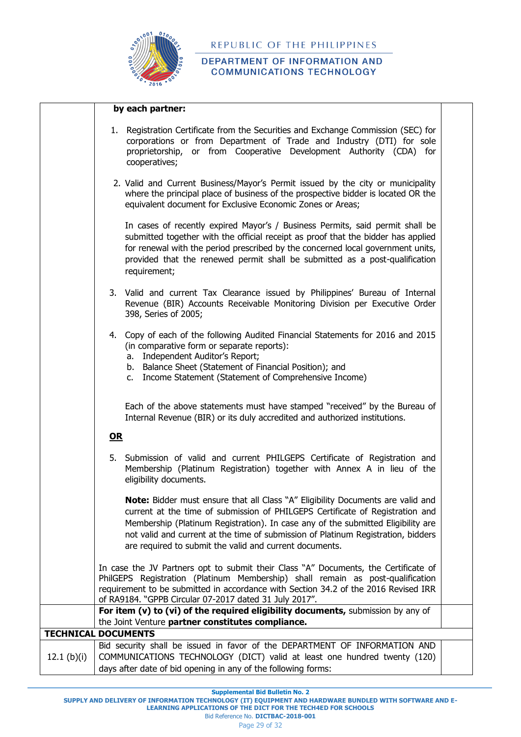

## DEPARTMENT OF INFORMATION AND **COMMUNICATIONS TECHNOLOGY**

|               | by each partner:                                                                                                                                                                                                                                                                                                                                                                                            |  |
|---------------|-------------------------------------------------------------------------------------------------------------------------------------------------------------------------------------------------------------------------------------------------------------------------------------------------------------------------------------------------------------------------------------------------------------|--|
|               | 1. Registration Certificate from the Securities and Exchange Commission (SEC) for<br>corporations or from Department of Trade and Industry (DTI) for sole<br>proprietorship, or from Cooperative Development Authority (CDA) for<br>cooperatives;                                                                                                                                                           |  |
|               | 2. Valid and Current Business/Mayor's Permit issued by the city or municipality<br>where the principal place of business of the prospective bidder is located OR the<br>equivalent document for Exclusive Economic Zones or Areas;                                                                                                                                                                          |  |
|               | In cases of recently expired Mayor's / Business Permits, said permit shall be<br>submitted together with the official receipt as proof that the bidder has applied<br>for renewal with the period prescribed by the concerned local government units,<br>provided that the renewed permit shall be submitted as a post-qualification<br>requirement;                                                        |  |
|               | 3. Valid and current Tax Clearance issued by Philippines' Bureau of Internal<br>Revenue (BIR) Accounts Receivable Monitoring Division per Executive Order<br>398, Series of 2005;                                                                                                                                                                                                                           |  |
|               | 4. Copy of each of the following Audited Financial Statements for 2016 and 2015<br>(in comparative form or separate reports):<br>a. Independent Auditor's Report;<br>b. Balance Sheet (Statement of Financial Position); and<br>c. Income Statement (Statement of Comprehensive Income)                                                                                                                     |  |
|               | Each of the above statements must have stamped "received" by the Bureau of<br>Internal Revenue (BIR) or its duly accredited and authorized institutions.<br>OR                                                                                                                                                                                                                                              |  |
|               | 5. Submission of valid and current PHILGEPS Certificate of Registration and<br>Membership (Platinum Registration) together with Annex A in lieu of the<br>eligibility documents.                                                                                                                                                                                                                            |  |
|               | <b>Note:</b> Bidder must ensure that all Class "A" Eligibility Documents are valid and<br>current at the time of submission of PHILGEPS Certificate of Registration and<br>Membership (Platinum Registration). In case any of the submitted Eligibility are<br>not valid and current at the time of submission of Platinum Registration, bidders<br>are required to submit the valid and current documents. |  |
|               | In case the JV Partners opt to submit their Class "A" Documents, the Certificate of<br>PhilGEPS Registration (Platinum Membership) shall remain as post-qualification<br>requirement to be submitted in accordance with Section 34.2 of the 2016 Revised IRR<br>of RA9184. "GPPB Circular 07-2017 dated 31 July 2017".                                                                                      |  |
|               | For item (v) to (vi) of the required eligibility documents, submission by any of                                                                                                                                                                                                                                                                                                                            |  |
|               | the Joint Venture partner constitutes compliance.<br><b>TECHNICAL DOCUMENTS</b>                                                                                                                                                                                                                                                                                                                             |  |
| 12.1 $(b)(i)$ | Bid security shall be issued in favor of the DEPARTMENT OF INFORMATION AND<br>COMMUNICATIONS TECHNOLOGY (DICT) valid at least one hundred twenty (120)                                                                                                                                                                                                                                                      |  |
|               | days after date of bid opening in any of the following forms:                                                                                                                                                                                                                                                                                                                                               |  |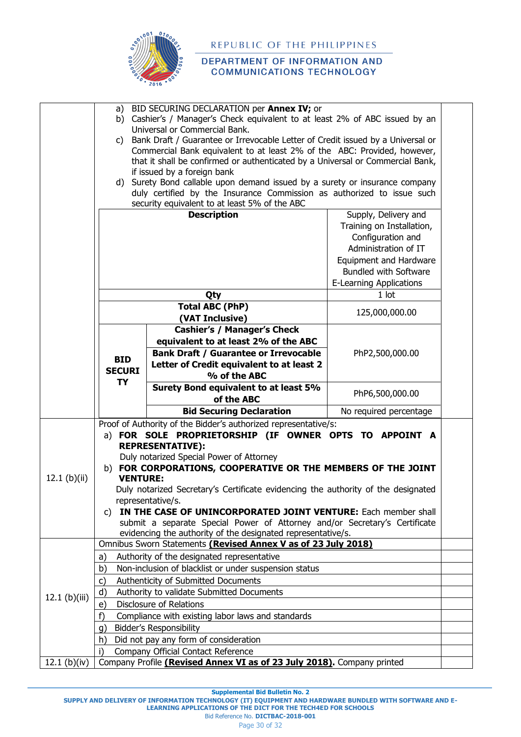

## DEPARTMENT OF INFORMATION AND **COMMUNICATIONS TECHNOLOGY**

|                | a)                                                                                                                                                          | BID SECURING DECLARATION per Annex IV; or                                   |                                |  |  |  |
|----------------|-------------------------------------------------------------------------------------------------------------------------------------------------------------|-----------------------------------------------------------------------------|--------------------------------|--|--|--|
|                | b) Cashier's / Manager's Check equivalent to at least 2% of ABC issued by an<br>Universal or Commercial Bank.                                               |                                                                             |                                |  |  |  |
|                | C)                                                                                                                                                          |                                                                             |                                |  |  |  |
|                | Bank Draft / Guarantee or Irrevocable Letter of Credit issued by a Universal or<br>Commercial Bank equivalent to at least 2% of the ABC: Provided, however, |                                                                             |                                |  |  |  |
|                | that it shall be confirmed or authenticated by a Universal or Commercial Bank,                                                                              |                                                                             |                                |  |  |  |
|                |                                                                                                                                                             | if issued by a foreign bank                                                 |                                |  |  |  |
|                |                                                                                                                                                             | d) Surety Bond callable upon demand issued by a surety or insurance company |                                |  |  |  |
|                |                                                                                                                                                             | duly certified by the Insurance Commission as authorized to issue such      |                                |  |  |  |
|                |                                                                                                                                                             | security equivalent to at least 5% of the ABC                               |                                |  |  |  |
|                |                                                                                                                                                             | <b>Description</b>                                                          | Supply, Delivery and           |  |  |  |
|                |                                                                                                                                                             |                                                                             | Training on Installation,      |  |  |  |
|                |                                                                                                                                                             |                                                                             | Configuration and              |  |  |  |
|                |                                                                                                                                                             |                                                                             | Administration of IT           |  |  |  |
|                |                                                                                                                                                             |                                                                             | Equipment and Hardware         |  |  |  |
|                |                                                                                                                                                             |                                                                             | <b>Bundled with Software</b>   |  |  |  |
|                |                                                                                                                                                             |                                                                             | <b>E-Learning Applications</b> |  |  |  |
|                |                                                                                                                                                             | Qty                                                                         | 1 lot                          |  |  |  |
|                |                                                                                                                                                             | <b>Total ABC (PhP)</b><br>(VAT Inclusive)                                   | 125,000,000.00                 |  |  |  |
|                |                                                                                                                                                             | <b>Cashier's / Manager's Check</b>                                          |                                |  |  |  |
|                |                                                                                                                                                             | equivalent to at least 2% of the ABC                                        |                                |  |  |  |
|                |                                                                                                                                                             | <b>Bank Draft / Guarantee or Irrevocable</b>                                | PhP2,500,000.00                |  |  |  |
|                | <b>BID</b>                                                                                                                                                  | Letter of Credit equivalent to at least 2                                   |                                |  |  |  |
|                | <b>SECURI</b>                                                                                                                                               | % of the ABC                                                                |                                |  |  |  |
|                | <b>TY</b>                                                                                                                                                   | Surety Bond equivalent to at least 5%                                       | PhP6,500,000.00                |  |  |  |
|                |                                                                                                                                                             | of the ABC                                                                  |                                |  |  |  |
|                |                                                                                                                                                             | <b>Bid Securing Declaration</b>                                             | No required percentage         |  |  |  |
|                |                                                                                                                                                             | Proof of Authority of the Bidder's authorized representative/s:             |                                |  |  |  |
|                | a) FOR SOLE PROPRIETORSHIP (IF OWNER OPTS TO APPOINT A<br><b>REPRESENTATIVE):</b>                                                                           |                                                                             |                                |  |  |  |
|                | Duly notarized Special Power of Attorney                                                                                                                    |                                                                             |                                |  |  |  |
|                | b) FOR CORPORATIONS, COOPERATIVE OR THE MEMBERS OF THE JOINT                                                                                                |                                                                             |                                |  |  |  |
| 12.1 $(b)(ii)$ | <b>VENTURE:</b>                                                                                                                                             |                                                                             |                                |  |  |  |
|                | Duly notarized Secretary's Certificate evidencing the authority of the designated                                                                           |                                                                             |                                |  |  |  |
|                | representative/s.                                                                                                                                           |                                                                             |                                |  |  |  |
|                |                                                                                                                                                             | c) IN THE CASE OF UNINCORPORATED JOINT VENTURE: Each member shall           |                                |  |  |  |
|                |                                                                                                                                                             | submit a separate Special Power of Attorney and/or Secretary's Certificate  |                                |  |  |  |
|                |                                                                                                                                                             | evidencing the authority of the designated representative/s.                |                                |  |  |  |
|                |                                                                                                                                                             | Omnibus Sworn Statements (Revised Annex V as of 23 July 2018)               |                                |  |  |  |
|                | a)                                                                                                                                                          | Authority of the designated representative                                  |                                |  |  |  |
|                | b)                                                                                                                                                          | Non-inclusion of blacklist or under suspension status                       |                                |  |  |  |
|                | C)                                                                                                                                                          | Authenticity of Submitted Documents                                         |                                |  |  |  |
| 12.1 (b)(iii)  | d)                                                                                                                                                          | Authority to validate Submitted Documents                                   |                                |  |  |  |
|                | e)                                                                                                                                                          | <b>Disclosure of Relations</b>                                              |                                |  |  |  |
|                | f)                                                                                                                                                          | Compliance with existing labor laws and standards                           |                                |  |  |  |
|                | q)                                                                                                                                                          | <b>Bidder's Responsibility</b>                                              |                                |  |  |  |
|                | h)                                                                                                                                                          | Did not pay any form of consideration                                       |                                |  |  |  |
|                | i)                                                                                                                                                          | Company Official Contact Reference                                          |                                |  |  |  |
| 12.1 (b)(iv)   |                                                                                                                                                             | Company Profile (Revised Annex VI as of 23 July 2018). Company printed      |                                |  |  |  |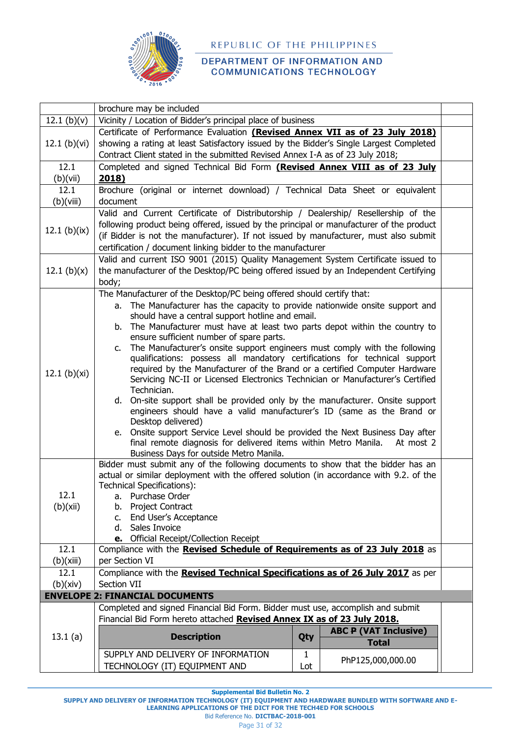

### DEPARTMENT OF INFORMATION AND **COMMUNICATIONS TECHNOLOGY**

|                  | brochure may be included                                                                                                                                                                                                                                                                                                             |     |                              |  |  |  |
|------------------|--------------------------------------------------------------------------------------------------------------------------------------------------------------------------------------------------------------------------------------------------------------------------------------------------------------------------------------|-----|------------------------------|--|--|--|
| 12.1 (b)(v)      | Vicinity / Location of Bidder's principal place of business                                                                                                                                                                                                                                                                          |     |                              |  |  |  |
|                  | Certificate of Performance Evaluation (Revised Annex VII as of 23 July 2018)                                                                                                                                                                                                                                                         |     |                              |  |  |  |
| 12.1 $(b)(vi)$   | showing a rating at least Satisfactory issued by the Bidder's Single Largest Completed                                                                                                                                                                                                                                               |     |                              |  |  |  |
|                  | Contract Client stated in the submitted Revised Annex I-A as of 23 July 2018;                                                                                                                                                                                                                                                        |     |                              |  |  |  |
| 12.1             | Completed and signed Technical Bid Form (Revised Annex VIII as of 23 July                                                                                                                                                                                                                                                            |     |                              |  |  |  |
| (b)(vii)         | 2018)                                                                                                                                                                                                                                                                                                                                |     |                              |  |  |  |
| 12.1             | Brochure (original or internet download) / Technical Data Sheet or equivalent                                                                                                                                                                                                                                                        |     |                              |  |  |  |
| (b)(viii)        | document                                                                                                                                                                                                                                                                                                                             |     |                              |  |  |  |
| 12.1 (b)( $ix$ ) | Valid and Current Certificate of Distributorship / Dealership/ Resellership of the<br>following product being offered, issued by the principal or manufacturer of the product<br>(if Bidder is not the manufacturer). If not issued by manufacturer, must also submit<br>certification / document linking bidder to the manufacturer |     |                              |  |  |  |
| 12.1 (b) $(x)$   | Valid and current ISO 9001 (2015) Quality Management System Certificate issued to<br>the manufacturer of the Desktop/PC being offered issued by an Independent Certifying<br>body;                                                                                                                                                   |     |                              |  |  |  |
|                  | The Manufacturer of the Desktop/PC being offered should certify that:                                                                                                                                                                                                                                                                |     |                              |  |  |  |
|                  | a. The Manufacturer has the capacity to provide nationwide onsite support and                                                                                                                                                                                                                                                        |     |                              |  |  |  |
|                  | should have a central support hotline and email.                                                                                                                                                                                                                                                                                     |     |                              |  |  |  |
|                  | b. The Manufacturer must have at least two parts depot within the country to                                                                                                                                                                                                                                                         |     |                              |  |  |  |
|                  | ensure sufficient number of spare parts.<br>The Manufacturer's onsite support engineers must comply with the following<br>c.                                                                                                                                                                                                         |     |                              |  |  |  |
|                  |                                                                                                                                                                                                                                                                                                                                      |     |                              |  |  |  |
|                  | qualifications: possess all mandatory certifications for technical support<br>required by the Manufacturer of the Brand or a certified Computer Hardware                                                                                                                                                                             |     |                              |  |  |  |
| 12.1 $(b)(xi)$   | Servicing NC-II or Licensed Electronics Technician or Manufacturer's Certified                                                                                                                                                                                                                                                       |     |                              |  |  |  |
|                  | Technician.                                                                                                                                                                                                                                                                                                                          |     |                              |  |  |  |
|                  | d. On-site support shall be provided only by the manufacturer. Onsite support                                                                                                                                                                                                                                                        |     |                              |  |  |  |
|                  | engineers should have a valid manufacturer's ID (same as the Brand or                                                                                                                                                                                                                                                                |     |                              |  |  |  |
|                  | Desktop delivered)                                                                                                                                                                                                                                                                                                                   |     |                              |  |  |  |
|                  | e. Onsite support Service Level should be provided the Next Business Day after                                                                                                                                                                                                                                                       |     |                              |  |  |  |
|                  | final remote diagnosis for delivered items within Metro Manila. At most 2<br>Business Days for outside Metro Manila.                                                                                                                                                                                                                 |     |                              |  |  |  |
|                  | Bidder must submit any of the following documents to show that the bidder has an                                                                                                                                                                                                                                                     |     |                              |  |  |  |
|                  | actual or similar deployment with the offered solution (in accordance with 9.2. of the                                                                                                                                                                                                                                               |     |                              |  |  |  |
|                  | Technical Specifications):                                                                                                                                                                                                                                                                                                           |     |                              |  |  |  |
| 12.1             | a. Purchase Order                                                                                                                                                                                                                                                                                                                    |     |                              |  |  |  |
| (b)(xii)         | Project Contract<br>b.                                                                                                                                                                                                                                                                                                               |     |                              |  |  |  |
|                  | End User's Acceptance<br>$C_{1}$                                                                                                                                                                                                                                                                                                     |     |                              |  |  |  |
|                  | Sales Invoice<br>d. I                                                                                                                                                                                                                                                                                                                |     |                              |  |  |  |
| 12.1             | e. Official Receipt/Collection Receipt<br>Compliance with the Revised Schedule of Requirements as of 23 July 2018 as                                                                                                                                                                                                                 |     |                              |  |  |  |
| (b)(xiii)        | per Section VI                                                                                                                                                                                                                                                                                                                       |     |                              |  |  |  |
| 12.1             | Compliance with the Revised Technical Specifications as of 26 July 2017 as per                                                                                                                                                                                                                                                       |     |                              |  |  |  |
| (b)(xiv)         | Section VII                                                                                                                                                                                                                                                                                                                          |     |                              |  |  |  |
|                  | <b>ENVELOPE 2: FINANCIAL DOCUMENTS</b>                                                                                                                                                                                                                                                                                               |     |                              |  |  |  |
|                  | Completed and signed Financial Bid Form. Bidder must use, accomplish and submit                                                                                                                                                                                                                                                      |     |                              |  |  |  |
|                  | Financial Bid Form hereto attached Revised Annex IX as of 23 July 2018.                                                                                                                                                                                                                                                              |     |                              |  |  |  |
|                  |                                                                                                                                                                                                                                                                                                                                      |     | <b>ABC P (VAT Inclusive)</b> |  |  |  |
| 13.1(a)          | <b>Description</b>                                                                                                                                                                                                                                                                                                                   | Qty | <b>Total</b>                 |  |  |  |
|                  | SUPPLY AND DELIVERY OF INFORMATION                                                                                                                                                                                                                                                                                                   | 1   |                              |  |  |  |
|                  | TECHNOLOGY (IT) EQUIPMENT AND                                                                                                                                                                                                                                                                                                        | Lot | PhP125,000,000.00            |  |  |  |

**Supplemental Bid Bulletin No. 2**

**SUPPLY AND DELIVERY OF INFORMATION TECHNOLOGY (IT) EQUIPMENT AND HARDWARE BUNDLED WITH SOFTWARE AND E-LEARNING APPLICATIONS OF THE DICT FOR THE TECH4ED FOR SCHOOLS** Bid Reference No. **DICTBAC-2018-001**